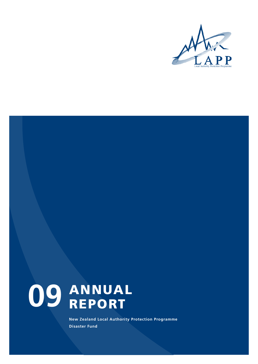

# **ANNUAL REPORT 09**

**New Zealand Local Authority Protection Programme Disaster Fund**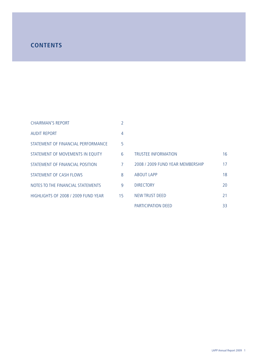## **CONTENTS**

| <b>CHAIRMAN'S REPORT</b>            | 2  |
|-------------------------------------|----|
| <b>AUDIT REPORT</b>                 | 4  |
| STATEMENT OF FINANCIAL PERFORMANCE  | 5  |
| STATEMENT OF MOVEMENTS IN EQUITY    | 6  |
| STATEMENT OF FINANCIAL POSITION     | 7  |
| STATEMENT OF CASH FLOWS             | 8  |
| NOTES TO THE FINANCIAL STATEMENTS   | 9  |
| HIGHLIGHTS OF 2008 / 2009 FUND YEAR | 15 |

| <b>TRUSTEE INFORMATION</b>       | 16 |
|----------------------------------|----|
| 2008 / 2009 FUND YFAR MEMBERSHIP | 17 |
| <b>ABOUT LAPP</b>                | 18 |
| <b>DIRECTORY</b>                 | 20 |
| NEW TRUST DEED                   | 21 |
| PARTICIPATION DEED               | 33 |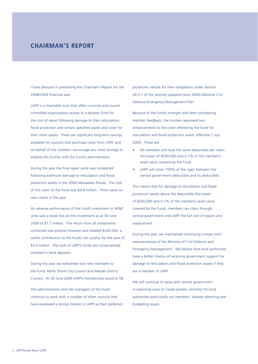## **CHAIRMAN'S REPORT**

I have pleasure in presenting the Chairman's Report for the 2008/2009 financial year.

LAPP is a charitable trust that offers councils and council controlled organisations access to a disaster fund for the cost of repair following damage to their reticulation, flood protection and certain specified assets and cover for their other assets. There are significant long-term savings available for councils that purchase cover from LAPP, and on behalf of the trustees I encourage you most strongly to explore this further with the Fund's administrators.

During the year the final repair work was completed following extensive damage to reticulation and flood protection assets in the 2004 Manawatu floods. The cost of this claim to the Fund was \$4.8 million. There were no new claims in the year.

An adverse performance of the Fund's investment in WiNZ units saw a book loss on this investment as at 30 June 2009 of \$1.7 million. The return from all investments combined was positive however and totalled \$242,000, a useful contribution to the Fund's net surplus for the year of \$3.4 million. The bulk of LAPP's funds are conservatively invested in bank deposits.

During the year we welcomed two new members to the Fund: North Shore City Council and Waitaki District Council. At 30 June 2009 LAPP's membership stood at 58.

The administrators and risk managers of the Fund continue to work with a number of other councils that have expressed a strong interest in LAPP as their preferred protection vehicle for their obligations under Section 26.5.1 of the recently updated (June 2009) National Civil Defence Emergency Management Plan.

Because of the Fund's strength and after considering member feedback, the trustees approved two enhancements to the cover offered by the Fund for reticulation and flood protection assets, effective 1 July 2009. These are:

- All members will have the same deductible per claim: the lower of \$500,000 and 0.1% of the member's asset value covered by the Fund.
- LAPP will cover 100% of the 'gap' between the central government deductible and its deductible.

This means that for damage to reticulation and flood protection assets above the deductible (the lower of \$500,000 and 0.1% of the member's asset value covered by the Fund), members can claim through central government and LAPP the full cost of repairs and replacement.

During the year, we maintained continuing contact with representatives of the Ministry of Civil Defence and Emergency Management. We believe that local authorities have a better chance of receiving government support for damage to reticulation and flood protection assets if they are a member of LAPP.

We will continue to liaise with central government in exploring ways to create greater certainty for local authorities particularly our members' disaster planning and budgeting issues.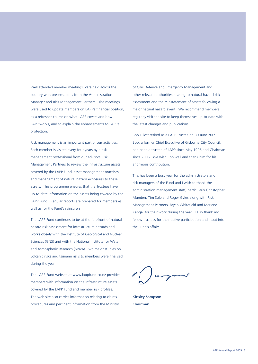Well attended member meetings were held across the country with presentations from the Administration Manager and Risk Management Partners. The meetings were used to update members on LAPP's financial position, as a refresher course on what LAPP covers and how LAPP works, and to explain the enhancements to LAPP's protection.

Risk management is an important part of our activities. Each member is visited every four years by a risk management professional from our advisors Risk Management Partners to review the infrastructure assets covered by the LAPP Fund, asset management practices and management of natural hazard exposures to these assets. This programme ensures that the Trustees have up-to-date information on the assets being covered by the LAPP Fund. Regular reports are prepared for members as well as for the Fund's reinsurers.

The LAPP Fund continues to be at the forefront of natural hazard risk assessment for infrastructure hazards and works closely with the Institute of Geological and Nuclear Sciences (GNS) and with the National Institute for Water and Atmospheric Research (NIWA). Two major studies on volcanic risks and tsunami risks to members were finalised during the year.

The LAPP Fund website at www.lappfund.co.nz provides members with information on the infrastructure assets covered by the LAPP Fund and member risk profiles. The web site also carries information relating to claims procedures and pertinent information from the Ministry

of Civil Defence and Emergency Management and other relevant authorities relating to natural hazard risk assessment and the reinstatement of assets following a major natural hazard event. We recommend members regularly visit the site to keep themselves up-to-date with the latest changes and publications.

Bob Elliott retired as a LAPP Trustee on 30 June 2009. Bob, a former Chief Executive of Gisborne City Council, had been a trustee of LAPP since May 1996 and Chairman since 2005. We wish Bob well and thank him for his enormous contribution.

This has been a busy year for the administrators and risk managers of the Fund and I wish to thank the administration management staff, particularly Christopher Munden, Tim Sole and Roger Gyles along with Risk Management Partners, Bryan Whitefield and Marlene Kanga, for their work during the year. I also thank my fellow trustees for their active participation and input into the Fund's affairs.

 $C \rightarrow$ 

Kinsley Sampson Chairman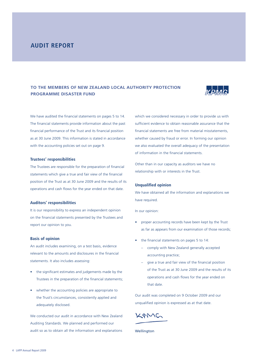## **AUDIT REPORT**

## **TO THE MEMBERS OF NEW ZEALAND LOCAL AUTHORITY PROTECTION PROGRAMME DISASTER FUND**



We have audited the financial statements on pages 5 to 14. The financial statements provide information about the past financial performance of the Trust and its financial position as at 30 June 2009. This information is stated in accordance with the accounting policies set out on page 9.

### **Trustees' responsibilities**

The Trustees are responsible for the preparation of financial statements which give a true and fair view of the financial position of the Trust as at 30 June 2009 and the results of its operations and cash flows for the year ended on that date.

### **Auditors' responsibilities**

It is our responsibility to express an independent opinion on the financial statements presented by the Trustees and report our opinion to you.

#### **Basis of opinion**

An audit includes examining, on a test basis, evidence relevant to the amounts and disclosures in the financial statements. It also includes assessing:

- the significant estimates and judgements made by the Trustees in the preparation of the financial statements:
- whether the accounting policies are appropriate to the Trust's circumstances, consistently applied and adequately disclosed.

We conducted our audit in accordance with New Zealand Auditing Standards. We planned and performed our audit so as to obtain all the information and explanations which we considered necessary in order to provide us with sufficient evidence to obtain reasonable assurance that the financial statements are free from material misstatements. whether caused by fraud or error. In forming our opinion we also evaluated the overall adequacy of the presentation of information in the financial statements.

Other than in our capacity as auditors we have no relationship with or interests in the Trust.

### **Unqualified opinion**

We have obtained all the information and explanations we have required.

In our opinion:

- proper accounting records have been kept by the Trust as far as appears from our examination of those records;
- the financial statements on pages 5 to 14:
	- comply with New Zealand generally accepted accounting practice;
	- give a true and fair view of the financial position of the Trust as at 30 June 2009 and the results of its operations and cash flows for the year ended on that date.

Our audit was completed on 9 October 2009 and our unqualified opinion is expressed as at that date.

KOMG

**Wellington**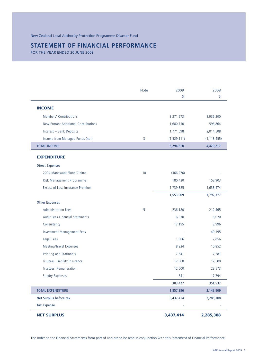## **STATEMENT OF FINANCIAL PERFORMANCE**

FOR THE YEAR ENDED 30 JUNE 2009

|                                             | <b>Note</b> | 2009<br>\$    | 2008<br>\$    |
|---------------------------------------------|-------------|---------------|---------------|
| <b>INCOME</b>                               |             |               |               |
| Members' Contributions                      |             | 3,371,573     | 2,936,300     |
| <b>New Entrant Additional Contributions</b> |             | 1,680,750     | 596,864       |
| Interest - Bank Deposits                    |             | 1,771,598     | 2,014,508     |
| Income from Managed Funds (net)             | 3           | (1, 529, 111) | (1, 118, 455) |
| <b>TOTAL INCOME</b>                         |             | 5,294,810     | 4,429,217     |
| <b>EXPENDITURE</b>                          |             |               |               |
| <b>Direct Expenses</b>                      |             |               |               |
| 2004 Manawatu Flood Claims                  | 10          | (366, 276)    |               |
| Risk Management Programme                   |             | 180,420       | 153,903       |
| Excess of Loss Insurance Premium            |             | 1,739,825     | 1,638,474     |
|                                             |             | 1,553,969     | 1,792,377     |
| <b>Other Expenses</b>                       |             |               |               |
| <b>Administration Fees</b>                  | 5           | 236,180       | 212,465       |
| Audit Fees-Financial Statements             |             | 6,030         | 6,020         |
| Consultancy                                 |             | 17,195        | 3,996         |
| <b>Investment Management Fees</b>           |             |               | 49,195        |
| <b>Legal Fees</b>                           |             | 1,806         | 7,856         |
| Meeting/Travel Expenses                     |             | 8,934         | 10,852        |
| Printing and Stationery                     |             | 7,641         | 7,281         |
| Trustees' Liability Insurance               |             | 12,500        | 12,500        |
| Trustees' Remuneration                      |             | 12,600        | 23,573        |
| <b>Sundry Expenses</b>                      |             | 541           | 17,794        |
|                                             |             | 303,427       | 351,532       |
| <b>TOTAL EXPENDITURE</b>                    |             | 1,857,396     | 2,143,909     |
| Net Surplus before tax                      |             | 3,437,414     | 2,285,308     |
| Tax expense                                 |             |               |               |
| <b>NET SURPLUS</b>                          |             | 3,437,414     | 2,285,308     |

The notes to the Financial Statements form part of and are to be read in conjunction with this Statement of Financial Performance.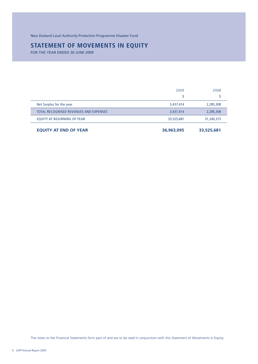New Zealand Local Authority Protection Programme Disaster Fund

## **STATEMENT OF MOVEMENTS IN EQUITY**

FOR THE YEAR ENDED 30 JUNE 2009

| <b>EQUITY AT END OF YEAR</b>           | 36,963,095 | 33,525,681 |
|----------------------------------------|------------|------------|
| EQUITY AT BEGINNING OF YEAR            | 33,525,681 | 31,240,373 |
| TOTAL RECOGNISED REVENUES AND EXPENSES | 3,437,414  | 2,285,308  |
| Net Surplus for the year               | 3,437,414  | 2,285,308  |
|                                        | S          |            |
|                                        | 2009       | 2008       |

The notes to the Financial Statements form part of and are to be read in conjunction with this Statement of Movements in Equity.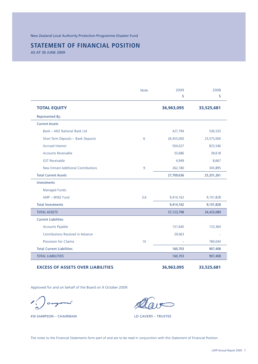New Zealand Local Authority Protection Programme Disaster Fund

## **STATEMENT OF FINANCIAL POSITION**

AS AT 30 JUNE 2009

|                                             | <b>Note</b> | 2009<br>\$ | 2008<br>\$ |
|---------------------------------------------|-------------|------------|------------|
| <b>TOTAL EQUITY</b>                         |             | 36,963,095 | 33,525,681 |
| <b>Represented By:</b>                      |             |            |            |
| <b>Current Assets</b>                       |             |            |            |
| Bank - ANZ National Bank Ltd                |             | 427,794    | 536,535    |
| Short Term Deposits - Bank Deposits         | 6           | 26,455,000 | 23,575,000 |
| <b>Accrued Interest</b>                     |             | 504,027    | 825,546    |
| <b>Accounts Receivable</b>                  |             | 55,686     | 39,618     |
| <b>GST Receivable</b>                       |             | 4,949      | 8,667      |
| <b>New Entrant Additional Contributions</b> | 9           | 262,180    | 345,895    |
| <b>Total Current Assets</b>                 |             | 27,709,636 | 25,331,261 |
| <b>Investments</b>                          |             |            |            |
| Managed Funds:                              |             |            |            |
| AMP - WiNZ Fund                             | 3,6         | 9,414,162  | 9,101,828  |
| <b>Total Investments</b>                    |             | 9,414,162  | 9,101,828  |
| <b>TOTAL ASSETS</b>                         |             | 37,123,798 | 34,433,089 |
| <b>Current Liabilities</b>                  |             |            |            |
| <b>Accounts Payable</b>                     |             | 131,640    | 123,364    |
| Contributions Received in Advance           |             | 29,063     |            |
| <b>Provision for Claims</b>                 | 10          |            | 784,044    |
| <b>Total Current Liabilities</b>            |             | 160,703    | 907,408    |
| <b>TOTAL LIABILITIES</b>                    |             | 160,703    | 907,408    |

## **EXCESS OF ASSETS OVER LIABILITIES 36,963,095 33,525,681**

Approved for and on behalf of the Board on 9 October 2009:

 $\sqrt{2}$ 

KN SAMPSON – CHAIRMAN LO CAVERS – TRUSTEE

The notes to the Financial Statements form part of and are to be read in conjunction with this Statement of Financial Position.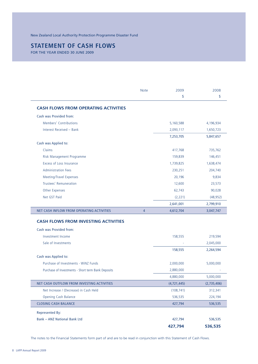## **STATEMENT OF CASH FLOWS**

FOR THE YEAR ENDED 30 JUNE 2009

|                                                                                      | <b>Note</b>    | 2009          | 2008                                                                                                        |
|--------------------------------------------------------------------------------------|----------------|---------------|-------------------------------------------------------------------------------------------------------------|
|                                                                                      |                | \$            | \$                                                                                                          |
| <b>CASH FLOWS FROM OPERATING ACTIVITIES</b>                                          |                |               |                                                                                                             |
| Cash was Provided from:                                                              |                |               |                                                                                                             |
| Members' Contributions                                                               |                | 5,160,588     | 4,196,934                                                                                                   |
| Interest Received - Bank                                                             |                | 2,093,117     | 1,650,723                                                                                                   |
|                                                                                      |                | 7,253,705     | 5,847,657                                                                                                   |
| Cash was Applied to:                                                                 |                |               |                                                                                                             |
| Claims                                                                               |                | 417,768       | 735,762                                                                                                     |
| Risk Management Programme                                                            |                | 159,839       | 146,451                                                                                                     |
| <b>Excess of Loss Insurance</b>                                                      |                | 1,739,825     | 1,638,474                                                                                                   |
| <b>Administration Fees</b>                                                           |                | 230,251       | 204,740                                                                                                     |
| <b>Meeting/Travel Expenses</b>                                                       |                | 20,196        | 9,834                                                                                                       |
| Trustees' Remuneration                                                               |                | 12,600        | 23,573                                                                                                      |
| <b>Other Expenses</b>                                                                |                | 62,743        | 90,028                                                                                                      |
| Net GST Paid                                                                         |                | (2, 221)      | (48, 952)                                                                                                   |
|                                                                                      |                | 2,641,001     | 2,799,910                                                                                                   |
|                                                                                      |                |               |                                                                                                             |
| NET CASH INFLOW FROM OPERATING ACTIVITIES                                            | $\overline{4}$ | 4,612,704     | 3,047,747                                                                                                   |
|                                                                                      |                |               |                                                                                                             |
| <b>CASH FLOWS FROM INVESTING ACTIVITIES</b><br><b>Cash was Provided from:</b>        |                |               |                                                                                                             |
| Investment Income                                                                    |                | 158,555       |                                                                                                             |
| Sale of Investments                                                                  |                |               |                                                                                                             |
|                                                                                      |                | 158,555       |                                                                                                             |
|                                                                                      |                |               |                                                                                                             |
| Purchase of Investments - WiNZ Funds                                                 |                | 2,000,000     |                                                                                                             |
| Cash was Applied to:<br>Purchase of Investments - Short term Bank Deposits           |                | 2,880,000     |                                                                                                             |
|                                                                                      |                | 4,880,000     |                                                                                                             |
|                                                                                      |                | (4, 721, 445) |                                                                                                             |
| NET CASH OUTFLOW FROM INVESTING ACTIVITIES<br>Net Increase / (Decrease) in Cash Held |                | (108, 741)    |                                                                                                             |
| <b>Opening Cash Balance</b>                                                          |                | 536,535       |                                                                                                             |
| <b>CLOSING CASH BALANCE</b>                                                          |                | 427,794       | 219,594<br>2,045,000<br>2,264,594<br>5,000,000<br>5,000,000<br>(2,735,406)<br>312,341<br>224,194<br>536,535 |
|                                                                                      |                |               |                                                                                                             |
| <b>Represented By:</b><br><b>Bank - ANZ National Bank Ltd</b>                        |                | 427,794       | 536,535                                                                                                     |

The notes to the Financial Statements form part of and are to be read in conjunction with this Statement of Cash Flows.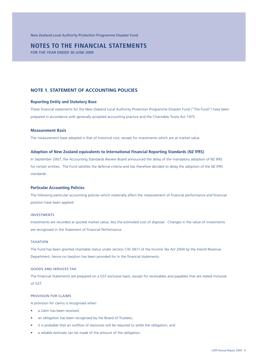New Zealand Local Authority Protection Programme Disaster Fund

## **NOTES TO THE FINANCIAL STATEMENTS**

FOR THE YEAR ENDED 30 JUNE 2009

## **NOTE 1. STATEMENT OF ACCOUNTING POLICIES**

### **Reporting Entity and Statutory Base**

These financial statements for the New Zealand Local Authority Protection Programme Disaster Fund ("The Fund") have been prepared in accordance with generally accepted accounting practice and the Charitable Trusts Act 1975.

### **Measurement Basis**

The measurement base adopted is that of historical cost, except for investments which are at market value.

#### **Adoption of New Zealand equivalents to International Financial Reporting Standards (NZ IFRS)**

In September 2007, the Accounting Standards Review Board announced the delay of the mandatory adoption of NZ IFRS for certain entities. The Fund satisfies the deferral criteria and has therefore decided to delay the adoption of the NZ IFRS standards.

#### **Particular Accounting Policies**

The following particular accounting policies which materially affect the measurement of financial performance and financial position have been applied:

#### INVESTMENTS

Investments are recorded at quoted market value, less the estimated cost of disposal. Changes in the value of investments are recognised in the Statement of Financial Performance.

### TAXATION

The Fund has been granted charitable status under section CW 34(1) of the Income Tax Act 2004 by the Inland Revenue Department, hence no taxation has been provided for in the financial statements.

### GOODS AND SERVICES TAX

The Financial Statements are prepared on a GST exclusive basis, except for receivables and payables that are stated inclusive of GST.

#### PROVISION FOR CLAIMS

A provision for claims is recognised when:

- a claim has been received;
- an obligation has been recognised by the Board of Trustees;
- it is probable that an outflow of resources will be required to settle the obligation; and
- a reliable estimate can be made of the amount of the obligation.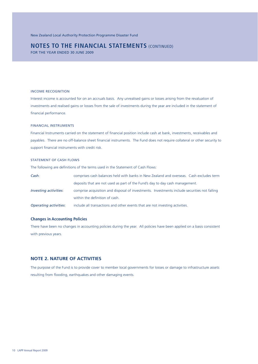FOR THE YEAR ENDED 30 JUNE 2009

#### INCOME RECOGNITION

Interest income is accounted for on an accruals basis. Any unrealised gains or losses arising from the revaluation of investments and realised gains or losses from the sale of investments during the year are included in the statement of financial performance.

### FINANCIAL INSTRUMENTS

Financial Instruments carried on the statement of financial position include cash at bank, investments, receivables and payables. There are no off-balance sheet financial instruments. The Fund does not require collateral or other security to support financial instruments with credit risk.

### STATEMENT OF CASH FLOWS

The following are definitions of the terms used in the Statement of Cash Flows:

| Cash:                 | comprises cash balances held with banks in New Zealand and overseas. Cash excludes term      |
|-----------------------|----------------------------------------------------------------------------------------------|
|                       | deposits that are not used as part of the Fund's day to day cash management.                 |
| Investing activities: | comprise acquisition and disposal of investments. Investments include securities not falling |
|                       | within the definition of cash.                                                               |
| Operating activities: | include all transactions and other events that are not investing activities.                 |

#### **Changes in Accounting Policies**

There have been no changes in accounting policies during the year. All policies have been applied on a basis consistent with previous years.

## **NOTE 2. NATURE OF ACTIVITIES**

The purpose of the Fund is to provide cover to member local governments for losses or damage to infrastructure assets resulting from flooding, earthquakes and other damaging events.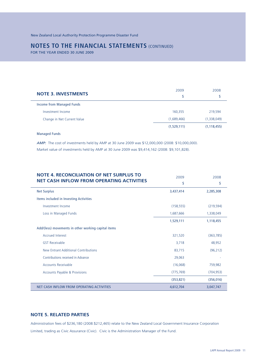FOR THE YEAR ENDED 30 JUNE 2009

| <b>NOTE 3. INVESTMENTS</b>  | 2009<br>\$  | 2008          |
|-----------------------------|-------------|---------------|
| Income from Managed Funds   |             |               |
| Investment Income           | 160,355     | 219,594       |
| Change in Net Current Value | (1,689,466) | (1,338,049)   |
|                             | (1,529,111) | (1, 118, 455) |

Managed Funds

*AMP:* The cost of investments held by AMP at 30 June 2009 was \$12,000,000 (2008: \$10,000,000). Market value of investments held by AMP at 30 June 2009 was \$9,414,162 (2008: \$9,101,828).

| <b>NOTE 4. RECONCILIATION OF NET SURPLUS TO</b><br><b>NET CASH INFLOW FROM OPERATING ACTIVITIES</b> | 2009<br>\$ | 2008<br>\$ |
|-----------------------------------------------------------------------------------------------------|------------|------------|
| <b>Net Surplus</b>                                                                                  | 3,437,414  | 2,285,308  |
| Items included in Investing Activities                                                              |            |            |
| Investment Income                                                                                   | (158, 555) | (219, 594) |
| Loss in Managed Funds                                                                               | 1,687,666  | 1,338,049  |
|                                                                                                     | 1,529,111  | 1,118,455  |
| Add/(less) movements in other working capital items                                                 |            |            |
| <b>Accrued Interest</b>                                                                             | 321,520    | (363, 785) |
| <b>GST Receivable</b>                                                                               | 3,718      | 48,952     |
| New Entrant Additional Contributions                                                                | 83,715     | (96, 212)  |
| Contributions received in Advance                                                                   | 29,063     |            |
| <b>Accounts Receivable</b>                                                                          | (16,068)   | 759,982    |
| <b>Accounts Payable &amp; Provisions</b>                                                            | (775, 769) | (704, 953) |
|                                                                                                     | (353, 821) | (356, 016) |
| NET CASH INFLOW FROM OPERATING ACTIVITIES                                                           | 4,612,704  | 3,047,747  |

## **NOTE 5. RELATED PARTIES**

Administration fees of \$236,180 (2008:\$212,465) relate to the New Zealand Local Government Insurance Corporation Limited, trading as Civic Assurance (Civic). Civic is the Administration Manager of the Fund.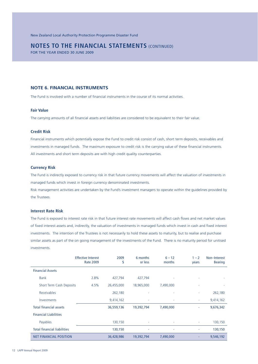FOR THE YEAR ENDED 30 JUNE 2009

## **NOTE 6. FINANCIAL INSTRUMENTS**

The Fund is involved with a number of financial instruments in the course of its normal activities.

#### **Fair Value**

The carrying amounts of all financial assets and liabilities are considered to be equivalent to their fair value.

## **Credit Risk**

Financial instruments which potentially expose the Fund to credit risk consist of cash, short term deposits, receivables and investments in managed funds. The maximum exposure to credit risk is the carrying value of these financial instruments. All investments and short term deposits are with high credit quality counterparties.

### **Currency Risk**

The Fund is indirectly exposed to currency risk in that future currency movements will affect the valuation of investments in managed funds which invest in foreign currency denominated investments.

Risk management activities are undertaken by the Fund's investment managers to operate within the guidelines provided by the Trustees.

### **Interest Rate Risk**

The Fund is exposed to interest rate risk in that future interest rate movements will affect cash flows and net market values of fixed interest assets and, indirectly, the valuation of investments in managed funds which invest in cash and fixed interest investments. The intention of the Trustees is not necessarily to hold these assets to maturity, but to realise and purchase similar assets as part of the on going management of the investments of the Fund. There is no maturity period for unitised investments.

|                                    | <b>Effective Interest</b><br><b>Rate 2009</b> | 2009<br>S  | 6 months<br>or less | $6 - 12$<br>months | $1 - 2$<br>years | Non-Interest<br><b>Bearing</b> |
|------------------------------------|-----------------------------------------------|------------|---------------------|--------------------|------------------|--------------------------------|
| <b>Financial Assets</b>            |                                               |            |                     |                    |                  |                                |
| <b>Bank</b>                        | 2.8%                                          | 427,794    | 427,794             | ٠                  |                  |                                |
| Short Term Cash Deposits           | 4.5%                                          | 26,455,000 | 18,965,000          | 7,490,000          | ٠                |                                |
| Receivables                        |                                               | 262,180    |                     |                    |                  | 262,180                        |
| Investments                        |                                               | 9,414,162  |                     |                    | ٠                | 9,414,162                      |
| <b>Total financial assets</b>      |                                               | 36,559,136 | 19,392,794          | 7,490,000          | ۰                | 9,676,342                      |
| <b>Financial Liabilities</b>       |                                               |            |                     |                    |                  |                                |
| Payables                           |                                               | 130,150    |                     | ٠                  | ٠                | 130,150                        |
| <b>Total financial liabilities</b> |                                               | 130,150    |                     |                    | ٠                | 130,150                        |
| <b>NET FINANCIAL POSITION</b>      |                                               | 36,428,986 | 19,392,794          | 7,490,000          | ٠                | 9,546,192                      |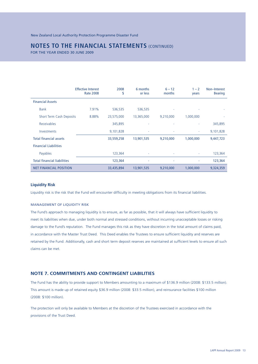FOR THE YEAR ENDED 30 JUNE 2009

|                                    | <b>Effective Interest</b><br><b>Rate 2008</b> | 2008<br>S  | 6 months<br>or less | $6 - 12$<br>months | $1 - 2$<br>years | Non-Interest<br><b>Bearing</b> |
|------------------------------------|-----------------------------------------------|------------|---------------------|--------------------|------------------|--------------------------------|
| <b>Financial Assets</b>            |                                               |            |                     |                    |                  |                                |
| <b>Bank</b>                        | 7.91%                                         | 536,535    | 536,535             |                    |                  |                                |
| Short Term Cash Deposits           | 8.88%                                         | 23,575,000 | 13,365,000          | 9,210,000          | 1,000,000        |                                |
| Receivables                        |                                               | 345,895    |                     |                    |                  | 345,895                        |
| Investments                        |                                               | 9,101,828  | ٠                   | ٠                  | ٠                | 9,101,828                      |
| <b>Total financial assets</b>      |                                               | 33,559,258 | 13,901,535          | 9,210,000          | 1,000,000        | 9,447,723                      |
| <b>Financial Liabilities</b>       |                                               |            |                     |                    |                  |                                |
| Payables                           |                                               | 123,364    | ۰                   | ٠                  | ٠                | 123,364                        |
| <b>Total financial liabilities</b> |                                               | 123,364    | ٠                   | ٠                  |                  | 123,364                        |
| <b>NET FINANCIAL POSITION</b>      |                                               | 33,435,894 | 13,901,535          | 9,210,000          | 1,000,000        | 9,324,359                      |

### **Liquidity Risk**

Liquidity risk is the risk that the Fund will encounter difficulty in meeting obligations from its financial liabilities.

#### MANAGEMENT OF LIQUIDITY RISK

The Fund's approach to managing liquidity is to ensure, as far as possible, that it will always have sufficient liquidity to meet its liabilities when due, under both normal and stressed conditions, without incurring unacceptable losses or risking damage to the Fund's reputation. The Fund manages this risk as they have discretion in the total amount of claims paid, in accordance with the Master Trust Deed. This Deed enables the Trustees to ensure sufficient liquidity and reserves are retained by the Fund. Additionally, cash and short term deposit reserves are maintained at sufficient levels to ensure all such claims can be met.

## **NOTE 7. COMMITMENTS AND CONTINGENT LIABILITIES**

The Fund has the ability to provide support to Members amounting to a maximum of \$136.9 million (2008: \$133.5 million). This amount is made up of retained equity \$36.9 million (2008: \$33.5 million), and reinsurance facilities \$100 million (2008: \$100 million).

The protection will only be available to Members at the discretion of the Trustees exercised in accordance with the provisions of the Trust Deed.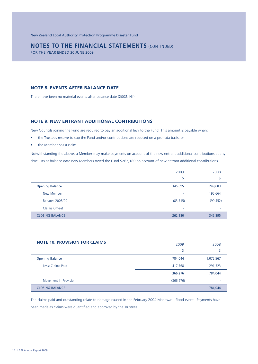New Zealand Local Authority Protection Programme Disaster Fund

## **NOTES TO THE FINANCIAL STATEMENTS (CONTINUED)**

FOR THE YEAR ENDED 30 JUNE 2009

## **NOTE 8. EVENTS AFTER BALANCE DATE**

There have been no material events after balance date (2008: Nil).

## **NOTE 9. NEW ENTRANT ADDITIONAL CONTRIBUTIONS**

New Councils joining the Fund are required to pay an additional levy to the Fund. This amount is payable when:

- the Trustees resolve to cap the Fund and/or contributions are reduced on a pro-rata basis, or
- the Member has a claim

Notwithstanding the above, a Member may make payments on account of the new entrant additional contributions at any time. As at balance date new Members owed the Fund \$262,180 on account of new entrant additional contributions.

|                        | 2009      | 2008      |
|------------------------|-----------|-----------|
|                        | \$        | \$        |
| <b>Opening Balance</b> | 345,895   | 249,683   |
| New Member             | ٠         | 195,664   |
| Rebates 2008/09        | (83, 715) | (99, 452) |
| Claims Off-set         | ۰         | ۰         |
| <b>CLOSING BALANCE</b> | 262,180   | 345,895   |

| <b>NOTE 10. PROVISION FOR CLAIMS</b> | 2009       | 2008      |
|--------------------------------------|------------|-----------|
|                                      | \$         | \$        |
| <b>Opening Balance</b>               | 784,044    | 1,075,567 |
| Less: Claims Paid                    | 417,768    | 291,523   |
|                                      | 366,276    | 784,044   |
| Movement in Provision                | (366, 276) | ٠         |
| <b>CLOSING BALANCE</b>               |            | 784,044   |

The claims paid and outstanding relate to damage caused in the February 2004 Manawatu flood event. Payments have been made as claims were quantified and approved by the Trustees.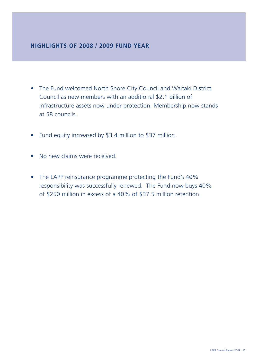## **HIGHLIGHTS OF 2008 / 2009 FUND YEAR**

- The Fund welcomed North Shore City Council and Waitaki District Council as new members with an additional \$2.1 billion of infrastructure assets now under protection. Membership now stands at 58 councils.
- Fund equity increased by \$3.4 million to \$37 million.
- No new claims were received.
- The LAPP reinsurance programme protecting the Fund's 40% responsibility was successfully renewed. The Fund now buys 40% of \$250 million in excess of a 40% of \$37.5 million retention.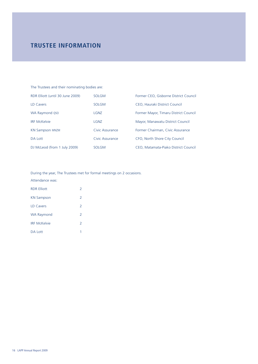## **TRUSTEE INFORMATION**

| The Trustees and their nominating bodies are: |                 |                                       |  |
|-----------------------------------------------|-----------------|---------------------------------------|--|
| RDR Elliott (until 30 June 2009)              | <b>SOLGM</b>    | Former CEO, Gisborne District Council |  |
| LD Cavers                                     | <b>SOLGM</b>    | CEO, Hauraki District Council         |  |
| WA Raymond QSO                                | LGNZ            | Former Mayor, Timaru District Council |  |
| <b>IRF McKelvie</b>                           | <b>LGNZ</b>     | Mayor, Manawatu District Council      |  |
| <b>KN Sampson MNZM</b>                        | Civic Assurance | Former Chairman, Civic Assurance      |  |
| DA Lott                                       | Civic Assurance | CFO, North Shore City Council         |  |
| DJ McLeod (from 1 July 2009)                  | <b>SOLGM</b>    | CEO, Matamata-Piako District Council  |  |

During the year, The Trustees met for formal meetings on 2 occasions. Attendance was:

| <b>RDR Elliott</b>  | $\mathcal{P}$            |
|---------------------|--------------------------|
| <b>KN Sampson</b>   | $\overline{2}$           |
| <b>ID Cavers</b>    | $\overline{\phantom{a}}$ |
| <b>WA Raymond</b>   | $\mathcal{P}$            |
| <b>IRF McKelvie</b> | $\overline{\phantom{a}}$ |
| DA Lott             | 1                        |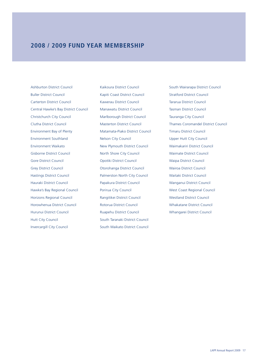## **2008 / 2009 FUND YEAR MEMBERSHIP**

Ashburton District Council Buller District Council Carterton District Council Central Hawke's Bay District Council Christchurch City Council Clutha District Council Environment Bay of Plenty Environment Southland Environment Waikato Gisborne District Council Gore District Council Grey District Council Hastings District Council Hauraki District Council Hawke's Bay Regional Council Horizons Regional Council Horowhenua District Council Hurunui District Council Hutt City Council Invercargill City Council

Kaikoura District Council Kapiti Coast District Council Kawerau District Council Manawatu District Council Marlborough District Council Masterton District Council Matamata-Piako District Council Nelson City Council New Plymouth District Council North Shore City Council Opotiki District Council Otorohanga District Council Palmerston North City Council Papakura District Council Porirua City Council Rangitikei District Council Rotorua District Council Ruapehu District Council South Taranaki District Council South Waikato District Council

South Wairarapa District Council Stratford District Council Tararua District Council Tasman District Council Tauranga City Council Thames Coromandel District Council Timaru District Council Upper Hutt City Council Waimakariri District Council Waimate District Council Waipa District Council Wairoa District Council Waitaki District Council Wanganui District Council West Coast Regional Council Westland District Council Whakatane District Council Whangarei District Council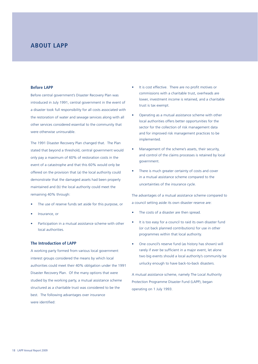## **ABOUT LAPP**

### **Before LAPP**

Before central government's Disaster Recovery Plan was introduced in July 1991, central government in the event of a disaster took full responsibility for all costs associated with the restoration of water and sewage services along with all other services considered essential to the community that were otherwise uninsurable.

The 1991 Disaster Recovery Plan changed that. The Plan stated that beyond a threshold, central government would only pay a maximum of 60% of restoration costs in the event of a catastrophe and that this 60% would only be offered on the provision that (a) the local authority could demonstrate that the damaged assets had been properly maintained and (b) the local authority could meet the remaining 40% through:

- The use of reserve funds set aside for this purpose, or
- Insurance, or
- Participation in a mutual assistance scheme with other local authorities.

### **The Introduction of LAPP**

A working party formed from various local government interest groups considered the means by which local authorities could meet their 40% obligation under the 1991 Disaster Recovery Plan. Of the many options that were studied by the working party, a mutual assistance scheme structured as a charitable trust was considered to be the best. The following advantages over insurance were identified:

- It is cost effective. There are no profit motives or commissions with a charitable trust, overheads are lower, investment income is retained, and a charitable trust is tax exempt.
- Operating as a mutual assistance scheme with other local authorities offers better opportunities for the sector for the collection of risk management data and for improved risk management practices to be implemented.
- Management of the scheme's assets, their security, and control of the claims processes is retained by local government.
- There is much greater certainty of costs and cover in a mutual assistance scheme compared to the uncertainties of the insurance cycle.

The advantages of a mutual assistance scheme compared to a council setting aside its own disaster reserve are:

- The costs of a disaster are then spread.
- It is too easy for a council to raid its own disaster fund (or cut back planned contributions) for use in other programmes within that local authority.
- One council's reserve fund (as history has shown) will rarely if ever be sufficient in a major event, let alone two big events should a local authority's community be unlucky enough to have back-to-back disasters.

A mutual assistance scheme, namely The Local Authority Protection Programme Disaster Fund (LAPP), began operating on 1 July 1993.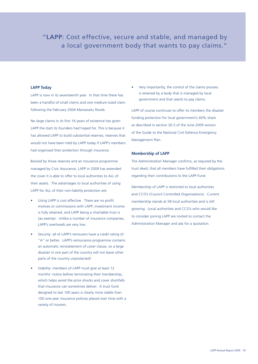## "**LAPP**: Cost effective, secure and stable, and managed by a local government body that wants to pay claims."

### **LAPP Today**

LAPP is now in its seventeenth year. In that time there has been a handful of small claims and one medium-sized claim following the February 2004 Manawatu floods.

No large claims in its first 16 years of existence has given LAPP the start its founders had hoped for. This is because it has allowed LAPP to build substantial reserves; reserves that would not have been held by LAPP today if LAPP's members had organised their protection through insurance.

Backed by those reserves and an insurance programme managed by Civic Assurance, LAPP in 2009 has extended the cover it is able to offer to local authorities to ALL of their assets. The advantages to local authorities of using LAPP for ALL of their non-liability protection are:

- Using LAPP is cost effective. There are no profit motives or commissions with LAPP; investment income is fully retained, and LAPP being a charitable trust is tax exempt. Unlike a number of insurance companies, LAPP's overheads are very low.
- Security: all of LAPP's reinsurers have a credit rating of "A" or better. LAPP's reinsurance programme contains an automatic reinstatement of cover clause, so a large disaster in one part of the country will not leave other parts of the country unprotected!
- Stability: members of LAPP must give at least 12 months' notice before terminating their membership, which helps avoid the price shocks and cover shortfalls that insurance can sometimes deliver. A trust fund designed to last 100 years is clearly more stable than 100 one-year insurance policies placed over time with a variety of insurers.

• Very importantly, the control of the claims process is retained by a body that is managed by local government and that *wants* to pay claims.

LAPP of course continues to offer its members the disaster funding protection for local government's 40% share as described in section 26.5 of the June 2009 version of the Guide to the National Civil Defence Emergency Management Plan.

### **Membership of LAPP**

The Administration Manager confirms, as required by the trust deed, that all members have fulfilled their obligations regarding their contributions to the LAPP Fund.

Membership of LAPP is restricted to local authorities and CCO's (Council Controlled Organisations). Current membership stands at 58 local authorities and is still growing. Local authorities and CCO's who would like to consider joining LAPP are invited to contact the Administration Manager and ask for a quotation.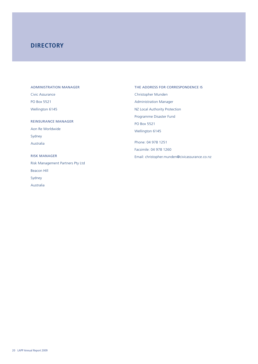## **DIRECTORY**

#### ADMINISTRATION MANAGER

Civic Assurance PO Box 5521 Wellington 6145 REINSURANCE MANAGER Aon Re Worldwide Sydney Australia RISK MANAGER Risk Management Partners Pty Ltd Beacon Hill Sydney Australia

THE ADDRESS FOR CORRESPONDENCE IS Christopher Munden Administration Manager NZ Local Authority Protection Programme Disaster Fund PO Box 5521 Wellington 6145 Phone: 04 978 1251 Facsimile: 04 978 1260 Email: christopher.munden@civicassurance.co.nz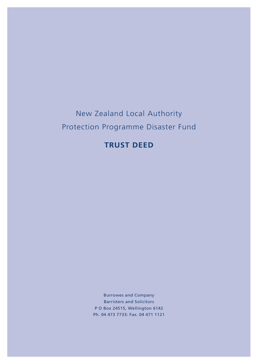# New Zealand Local Authority Protection Programme Disaster Fund

## **TRUST DEED**

Burrowes and Company Barristers and Solicitors P O Box 24515, Wellington 6142 Ph. 04 473 7733: Fax. 04 471 1121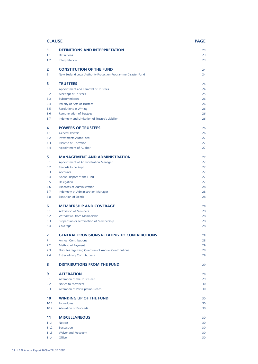| <b>CLAUSE</b> |                                                                | <b>PAGE</b> |
|---------------|----------------------------------------------------------------|-------------|
| 1             | <b>DEFINITIONS AND INTERPRETATION</b>                          | 23          |
| 1.1           | <b>Definitions</b>                                             | 23          |
| 1.2           | Interpretation                                                 | 23          |
| 2             | <b>CONSTITUTION OF THE FUND</b>                                | 24          |
| 2.1           | New Zealand Local Authority Protection Programme Disaster Fund | 24          |
| 3             | <b>TRUSTEES</b>                                                | 24          |
| 3.1           | Appointment and Removal of Trustees                            | 24          |
| 3.2           | <b>Meetings of Trustees</b>                                    | 25          |
| 3.3           | Subcommittees                                                  | 26          |
| 3.4           | Validity of Acts of Trustees                                   | 26          |
| 3.5           | <b>Resolutions in Writing</b>                                  | 26          |
| 3.6           | <b>Remuneration of Trustees</b>                                | 26          |
| 3.7           | Indemnity and Limitation of Trustee's Liability                | 26          |
| 4             | <b>POWERS OF TRUSTEES</b>                                      | 26          |
| 4.1           | <b>General Powers</b>                                          | 26          |
| 4.2           | <b>Investments Authorised</b>                                  | 27          |
| 4.3           | <b>Exercise of Discretion</b>                                  | 27          |
| 4.4           | Appointment of Auditor                                         | 27          |
| 5             | <b>MANAGEMENT AND ADMINISTRATION</b>                           | 27          |
| 5.1           | Appointment of Administration Manager                          | 27          |
| 5.2           | Records to be Kept                                             | 27          |
| 5.3           | <b>Accounts</b>                                                | 27          |
| 5.4           | Annual Report of the Fund                                      | 27          |
| 5.5           | Delegation                                                     | 27          |
| 5.6           | <b>Expenses of Administration</b>                              | 28          |
| 5.7           | Indemnity of Administration Manager                            | 28          |
| 5.8           | <b>Execution of Deeds</b>                                      | 28          |
| 6             | <b>MEMBERSHIP AND COVERAGE</b>                                 | 28          |
| 6.1           | <b>Admission of Members</b>                                    | 28          |
| 6.2           | Withdrawal from Membership                                     | 28          |
| 6.3           | Suspension or Termination of Membership                        | 28          |
| 6.4           | Coverage                                                       | 28          |
| 7             | <b>GENERAL PROVISIONS RELATING TO CONTRIBUTIONS</b>            | 28          |
| 7.1           | <b>Annual Contributions</b>                                    | 28          |
| 7.2           | Method of Payment                                              | 29          |
| 7.3<br>7.4    | Disputes regarding Quantum of Annual Contributions             | 29<br>29    |
|               | <b>Extraordinary Contributions</b>                             |             |
| 8             | <b>DISTRIBUTIONS FROM THE FUND</b>                             | 29          |
| 9             | <b>ALTERATION</b>                                              | 29          |
| 9.1           | Alteration of the Trust Deed                                   | 29          |
| 9.2           | Notice to Members                                              | 30          |
| 9.3           | Alteration of Participation Deeds                              | 30          |
| 10            | <b>WINDING UP OF THE FUND</b>                                  | 30          |
| 10.1          | Procedures                                                     | 30          |
| 10.2          | <b>Allocation of Proceeds</b>                                  | 30          |
| 11            | <b>MISCELLANEOUS</b>                                           | 30          |
| 11.1          | <b>Notices</b>                                                 | 30          |
| 11.2          | Succession                                                     | 30          |
| 11.3          | Waiver and Precedent                                           | 30          |
| 11.4          | Office                                                         | 30          |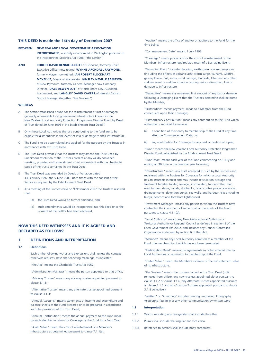#### **THIS DEED is made the 14th day of December 2007**

**BETWEEN NEW ZEALAND LOCAL GOVERNMENT ASSOCIATION INCORPORATED**, a society incorporated in Wellington pursuant to the Incorporated Societies Act 1908 ("the Settlor")

**AND ROBERT DAVID RENNIE ELLIOTT** of Gisborne, formerly Chief Executive Officer now retired, **WYNNE ARCHDALL RAYMOND**. formerly Mayor now retired, **IAN ROBERT FLOCKHART MCKELVIE**, Mayor of Manawatu, **KINSLEY NEVILLE SAMPSON** of New Plymouth, formerly General Manager now Company Director, **DALE ALWYN LOTT** of North Shore City, Auckland, Accountant, and **LANGLEY DAVID CAVERS** of Hauraki District, District Manager (together "the Trustees")

#### **WHEREAS**

- A The Settlor established a fund for the reinstatement of lost or damaged generally uninsurable local government infrastructure known as the New Zealand Local Authority Protection Programme Disaster Fund, by Deed of Trust dated 29 June 1993 ("the Establishment Trust Deed")
- B Only those Local Authorities that are contributing to the fund are to be eligible for distributions in the event of loss or damage to their infrastructure.
- C The Fund is to be accumulated and applied for the purpose by the Trustees in accordance with this Trust Deed.
- D The Trust Deed provides that the Trustees may amend the Trust Deed by unanimous resolution of the Trustees present at any validly convened meeting, provided such amendment is not inconsistent with the charitable scope of the trusts contained in the Trust Deed.
- The Trust Deed was amended by Deeds of Variation dated 14 February 1997 and 5 June 2003, both times with the consent of the Settlor as required by the Establishment Trust Deed.
- At a meeting of the Trustees held on 9 November 2007 the Trustees resolved that:
	- (a) the Trust Deed would be further amended, and
	- (b) such amendments would be incorporated into this deed once the consent of the Settlor had been obtained.

### **NOW THIS DEED WITNESSES AND IT IS AGREED AND DECLARED AS FOLLOWS:**

#### **1 DEFINITIONS AND INTERPRETATION**

#### 1.1 Definitions

 Each of the following words and expressions shall, unless the context otherwise requires, have the following meanings, as indicated:

"the Act" means the Charitable Trusts Act 1957;

"Administration Manager" means the person appointed to that office;

 "Advisory Trustee" means any advisory trustee appointed pursuant to clause 3.1.8;

 "Alternative Trustee" means any alternate trustee appointed pursuant to clause 3.1.3;

 "Annual Accounts" means statements of income and expenditure and balance sheets of the Fund prepared or to be prepared in accordance with the provisions of this Trust Deed;

 "Annual Contribution" means the annual payment to the Fund made by each Member in return for Coverage by the Fund for a Fund Year;

 "Asset Value" means the cost of reinstatement of a Member's Infrastructure as determined pursuant to clause 7.1.1(a);

"Auditor" means the office of auditor or auditors to the Fund for the time being;

"Commencement Date" means 1 July 1993;

 "Coverage" means protection for the cost of reinstatement of the Members' Infrastructure required as a result of a Damaging Event;

 "Damaging Event" includes fl ooding, earthquake, volcanic eruptions (including the effects of volcanic ash), storm surge, tsunami, wildfire, gas explosion, hail, snow, wind damage, landslide, lahar and any other sudden event or sudden situation causing serious disruption, loss or damage to Infrastructure;

"Deductible" means any uninsured first amount of any loss or damage following a Damaging Event that the Trustees determine shall be borne by the Member;

 "Distribution" means payment, made to a Member from the Fund, consequent upon their Coverage;

 "Extraordinary Contribution" means any contribution to the Fund which a Member is required to make as:

- (i) a condition of their entry to membership of the Fund at any time after the Commencement Date; or
- (ii) any contribution for Coverage for any part or portion of a year;

 "Fund" means the New Zealand Local Authority Protection Programme Disaster Fund, established by the Establishment Trust Deed;

 "Fund Year" means each year of the Fund commencing on 1 July and ending on 30 June in the calendar year following:

 "Infrastructure" means any asset accepted as such by the Trustees and registered with the Trustees for Coverage for which a Local Authority has an insurable interest and may include reticulation, storage and treatment facilities (water, sewage, stormwater); tunnels other than road tunnels; dams; canals; stopbanks; flood control protection works; drainage works; detention ponds; sea walls; and harbour risks (including buoys, beacons and foreshore lighthouses).

 "Investment Manager" means any person to whom the Trustees have contracted the investment of some or all of the assets of the Fund pursuant to clause 4.1.1(b);

 "Local Authority" means any New Zealand Local Authority or Territorial Authority or Regional Council as defined in section 5 of the Local Government Act 2002, and includes any Council-Controlled Organisation as defined by section 6 of that Act.

 "Member" means any Local Authority admitted as a member of the Fund, the membership of which has not been terminated.

 "Participation Deed" means the agreements so called entered into by Local Authorities on admission to membership of the Fund;

 "Stated Value" means the Member's estimate of the reinstatement value of its Infrastructure.

 "the Trustees" means the trustees named in this Trust Deed (until removed from office), any new trustees appointed either pursuant to clause 3.1.2 or clause 3.1.6, any Alternate Trustees appointed pursuant to clause 3.1.3 and any Advisory Trustees appointed pursuant to clause 3.1.8 collectively.

 "written" or "in writing" includes printing, engraving, lithography, telegraphy, facsimile or any other communication by written word.

#### **1.2 Interpretation**

- 1.2.1 Words importing any one gender shall include the other.
- 1.2.2 Plurals shall include the singular and vice versa.
- 1.2.3 Reference to persons shall include body corporates.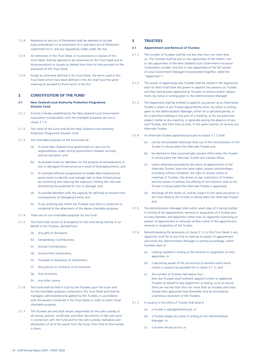- 1.2.4 Reference to any Act of Parliament shall be deemed to include every amendment or re-enactment of it and every Act of Parliament substituted for it, and any regulations made under the Act.
- 1.2.5 All references in this Trust Deed, or to provisions or clauses of this Trust Deed, shall be deemed to be references to this Trust Deed and to those provisions or clauses as altered from time to time pursuant to the provisions of this Trust Deed.
- 1.2.6 Except as otherwise defined in this Trust Deed, the terms used in this Trust Deed which have been defined in the Act shall have the same meaning as ascribed to those terms in the Act.

#### **2 CONSTITUTION OF THE FUND**

- **2.1 New Zealand Local Authority Protection Programme Disaster Fund**
- 2.1.1 A fund is hereby established by the New Zealand Local Government Association Incorporated, with the charitable purposes set out in clause 2.1.3.
- 2.1.2 The name of the fund shall be the New Zealand Local Authority Protection Programme Disaster Fund.
- 2.1.3 The charitable purposes of the Fund shall be:
	- (a) To assist New Zealand local government to carry out its responsibilities under central government's disaster recovery policies and plans; and
	- (b) To provide funds for Members for the purpose of reinstatement of lost or damaged Infrastructure as a result of Damaging Events; and
	- (c) To facilitate effective programmes to enable New Zealand local government to identify and manage risks to their Infrastructure by minimising and reducing the exposure, limiting the risks and diminishing the potential for loss or damage; and
	- (d) To provide Members with the capacity for self-help to recover from consequences of Damaging Events; and
	- (e) To do anything else which the Trustees may think is conducive or incidental to the attainment of the above charitable purposes.
- 2.1.4 There are no non-charitable purposes for the Fund.
- 2.1.5 The Fund shall consist of all property for the time being held by or on behalf of the Trustees, derived from:
	- (a) Any gifts or donations;
	- (b) Extraordinary Contributions;
	- (c) Annual Contributions;
	- (d) Income from investments;
	- (e) Proceeds of realisation of investments;
	- (f) Any policies or contracts of re-insurance;
	- (g) Any recoveries;
	- (h) Any other source.
- 2.1.6 The Fund shall be held in trust by the Trustees upon the trusts and for the charitable purposes contained in this Trust Deed and shall be managed, administered and applied by the Trustees, in accordance with the powers contained in this Trust Deed, in order to attain those charitable purposes.
- 2.1.7 The Trustees are and shall remain responsible for the safe custody of all money, policies, certificates and other documents of title and value in connection with the Fund and for the safe custody, realisation and distribution of all of the assets from the Fund, from time to time vested in them.

### **3 TRUSTEES**

#### **3.1 Appointment and Removal of Trustees**

- 3.1.1 The number of Trustees shall be not less than four nor more than six. The Trustees shall be one or two appointees of the Settlor; one or two appointees of the New Zealand Local Government Insurance Corporation Limited; and one or two appointees of the NZ Society of Local Government Managers Incorporated (together called the "Appointors").
- 3.1.2 The power of appointing new Trustees shall be vested in the Appointors each of which shall have the power to appoint two persons as Trustees and they having been appointed as Trustees to remove and/or replace them, by notice in writing given to the Administration Manager.
- 3.1.3 The Appointors shall be entitled to appoint any person as an Alternative Trustee in place of any Trustee appointed by them, by notice in writing given to the Administration Manager, either for a specified period, or for a specified meeting or any part of a meeting, or for any particular subject matter at any meeting, or generally during the absence of any such Trustee, and from time to time, in the same manner, to remove any Alternate Trustee.
- 3.1.4 An Alternate Trustee appointed pursuant to clause 3.1.3 shall:
	- (a) not be remunerated otherwise than out of the remuneration of the Trustee in whose place the Alternate Trustee acts;
	- (b) be deemed to have automatically vacated office when the Trustee in whose place the Alternate Trustee acts vacates office;
	- (c) unless otherwise provided by the terms of appointment of the Alternate Trustee, have the same rights, powers and privileges (including without limitation, the right to receive notice of meetings of Trustees, the power to sign resolutions of Trustees and the power to witness the affixing of the common seal) as the Trustee in whose place the Alternate Trustee is appointed;
	- (d) discharge all the duties of, and be subject to the same provisions in this Trust Deed as the Trustee in whose place the Alternate Trustee acts.
- 3.1.5 The Administration Manager shall within seven days of it being notified in writing of the appointment, removal or resignation of a Trustee give to every Member and Appointor (other than an Appointor exercising its powers of appointment or removal) written notice of the appointment, removal or resignation of the Trustee.
- 3.1.6 Notwithstanding the provisions of clause 3.1.2 of this Trust Deed, if any Appointor shall fail at any time to exercise its power of appointment and notify the Administration Manager in writing accordingly, within fourteen days of:
	- (a) it being notified in writing of the removal or resignation of their appointee; or
	- (b) it becoming aware of the occurrence of another event which creates a vacancy (as provided for in clause 3.1.7); and
	- (c) the number of Trustees falls below four then the Trustees shall forthwith appoint further or additional Trustees on behalf of any Appointors so failing, so as to ensure there are not less than four nor more than six Trustees and every Trustee then appointed may thereafter only be removed by unanimous resolution of the Trustees.
- 3.1.7 A vacancy in the office of Trustee shall arise if:
	- (a) a Trustee is adjudged bankrupt; or
	- (b) a Trustee resigns by notice in writing to the Administration Manager; or
	- (c) a Trustee refuses to act; or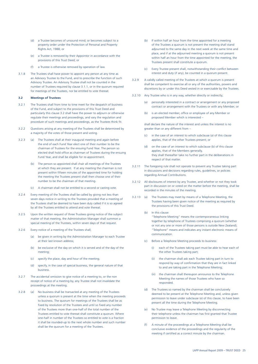- (d) a Trustee becomes of unsound mind; or becomes subject to a property order under the Protection of Personal and Property Rights Act, 1988; or
- (e) a Trustee is removed by their Appointor in accordance with the provisions of this Trust Deed; or
- (f) a Trustee is otherwise removed by operation of law.
- 3.1.8 The Trustees shall have power to appoint any person at any time as an Advisory Trustee to the Fund, and to prescribe the function of such Advisory Trustee. An Advisory Trustee shall not be counted in the number of Trustees required by clause 3.1.1, or in the quorum required for meetings of the Trustees, nor be entitled to vote thereat.

#### **3.2 Meetings of Trustees**

- 3.2.1 The Trustees shall from time to time meet for the despatch of business of the Fund, and subject to the provisions of this Trust Deed and particularly this clause 3.2 shall have the power to adjourn or otherwise regulate their meetings and proceedings, and vary the regulation and procedure of such meetings and proceedings, as the Trustees think fit.
- 3.2.2 Questions arising at any meeting of the Trustees shall be determined by a majority of the votes of those present and voting.
- 3.2.3 (a) The Trustees shall at their inaugural meeting and again before the end of each Fund Year elect one of their number to be the chairman of Trustees for the ensuing Fund Year. The person so elected shall hold office as chairman of Trustees during the ensuing Fund Year, and shall be eligible for re-appointment.
	- (b) The person so appointed shall chair all meetings of the Trustees at which they are present. If at any meeting the chairman is not present within fifteen minutes of the appointed time for holding the meeting the Trustees present shall then choose one of their number to be the chairman of that meeting.
	- (c) A chairman shall not be entitled to a second or casting vote.
- 3.2.4 Every meeting of the Trustees shall be called by giving not less than seven days notice in writing to the Trustees provided that a meeting of the Trustees shall be deemed to have been duly called if it is so agreed by all the Trustees entitled to attend and vote thereat.
- 3.2.5 Upon the written request of three Trustees giving notice of the subject matter of that meeting, the Administration Manager shall summon a special meeting of the Trustees, within seven days of that request.
- 3.2.6 Every notice of a meeting of the Trustees shall;
	- (a) be given in writing by the Administration Manager to each Trustee at their last known address;
	- (b) be exclusive of the day on which it is served and of the day of the meeting;
	- (c) specify the place, day and hour of the meeting;
	- (d) specify, in the case of special business, the general nature of that business.
- 3.2.7 The accidental omission to give notice of a meeting to, or the non receipt of notice of a meeting by, any Trustee shall not invalidate the proceedings at the meeting.
- 3.2.8 (a) No business shall be transacted at any meeting of the Trustees unless a quorum is present at the time when the meeting proceeds to business. The quorum for meetings of the Trustees shall be as fixed by resolution of the Trustees and until so fixed any number of the Trustees more than one-half of the total number of the Trustees entitled to vote thereat shall constitute a quorum. Where one-half in number of the Trustees so entitled to vote is a fraction it shall be rounded-up to the next whole number and such number shall be the quorum for a meeting of the Trustees.
- (b) If within half an hour from the time appointed for a meeting of the Trustees a quorum is not present the meeting shall stand adjourned to the same day in the next week at the same time and place, and if at the adjourned meeting a quorum is not present within half an hour from the time appointed for the meeting, the Trustees present shall constitute a quorum.
- (c) Every Trustee present shall, notwithstanding their conflict between interest and duty (if any), be counted in a quorum present.
- 3.2.9 A validly called meeting of the Trustees at which a quorum is present shall be competent to exercise all or any of the authorities, powers and discretions by or under this Deed vested in or exercisable by the Trustees.
- 3.2.10 Any Trustee who is in any way, whether directly or indirectly;
	- (a) personally interested in a contract or arrangement or any proposed contract or arrangement with the Trustees or with any Member; or
	- (b) is an elected member, office or employee of any Member or proposed Member which is interested –

shall declare the nature of the interest and unless the interest is no greater than or any different from –

- (c) in the case of an interest to which subclause (a) of this clause applies, that of the other Trustees present; or
- (d) on the case of an interest to which subclause (b) of this clause applies, that of the Members generally, they shall thereafter take no further part in the deliberations in respect of that matter.
- 3.2.11 The foregoing rule shall not operate to prevent any Trustee taking part in discussions and decisions regarding rules, guidelines, or policies regarding Annual Contributions.
- 3.2.12 All disclosures of interest by any Trustee, and whether or not they took part in discussion on or voted on the matter before the meeting, shall be recorded in the minutes of the meeting.
- 3.2.13 (a) The Trustees may meet by means of a Telephone Meeting, the Trustees having been given notice of the meeting as required by the provisions of this Trust Deed.
	- (b) In this clause: "Telephone Meeting" means the contemporaneous linking together by telephone of Trustees comprising a quorum (whether or not any one or more of those persons is outside New Zealand); "Telephone" means and indicates any instant electronic means of communication.
	- (c) Before a Telephone Meeting proceeds to business:
		- (i) each of the Trustees taking part must be able to hear each of the other Trustees taking part;
		- (ii) the chairman shall ask each Trustee taking part in turn to respond by way of confirmation that they are in fact linked to and are taking part in the Telephone Meeting;
		- (iii) the chairman shall thereupon announce to the Telephone Meeting the names of those Trustees who have so responded.
	- (d) The Trustees so named by the chairman shall be conclusively deemed to be present at the Telephone Meeting and, unless given permission to leave under subclause (e) of this clause, to have been present all the time during the Telephone Meeting.
	- (e) No Trustee may leave a Telephone Meeting by disconnecting their telephone unless the chairman has first granted that Trustee permission to leave.
	- (f) A minute of the proceedings at a Telephone Meeting shall be conclusive evidence of the proceedings and the regularity of the meeting if certified as a correct minute by the chairman.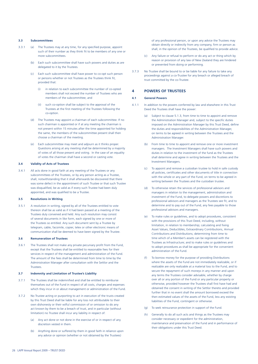#### **3.3 Subcommittees**

- 3.3.1 (a) The Trustees may at any time, for any specified purpose, appoint such of their number as they think fit to be members of any one or more subcommittees.
	- (b) Each such subcommittee shall have such powers and duties as are delegated to it by the Trustees.
	- (c) Each such subcommittee shall have power to co-opt such person or persons whether or not Trustees as the Trustees think fit, provided that:
		- (i) in relation to each subcommittee the number of co-opted members shall not exceed the number of Trustees who are members of the subcommittee; and
		- (ii) such co-option shall be subject to the approval of the Trustees at the first meeting of the Trustees following the co-option.
	- (d) The Trustees may appoint a chairman of each subcommittee. If no such chairman is appointed or if at any meeting the chairman is not present within 15 minutes after the time appointed for holding the same, the members of the subcommittee present shall then choose a chairman of the meeting.
	- Each subcommittee may meet and adjourn as it thinks proper. Questions arising at any meeting shall be determined by a majority of votes of all those present and voting. In the case of an equality of votes the chairman shall have a second or casting vote.

#### **3.4 Validity of Acts of Trustees**

3.4.1 All acts done in good faith at any meeting of the Trustees or any subcommittees of the Trustees, or by any person acting as a Trustee, shall, notwithstanding that it shall afterwards be discovered that there was some defect in the appointment of such Trustee or that such Trustee was disqualified, be as valid as if every such Trustee had been duly appointed, and was qualified to be a Trustee.

#### **3.5 Resolutions in Writing**

3.5.1 A resolution in writing, signed by all of the Trustees entitled to vote thereon shall be as valid as if it had been passed at a meeting of the Trustees duly convened and held. Any such resolution may consist of several documents in like form, each signed by one or more of the Trustees so entitled. Any such document sent by a Trustee by telegram, cable, facsimile, copier, telex or other electronic means of communication shall be deemed to have been signed by the Trustee.

#### **3.6 Remuneration of Trustees**

3.6.1 The Trustees shall not make any private pecuniary profit from the Fund, except that the Trustees shall be entitled to reasonable fees for their services in respect of the management and administration of the Fund. The amount of the fees shall be determined from time to time by the Administration Manager after consultation with the Settlor and the **Trustees** 

#### **3.7 Indemnity and Limitation of Trustee's Liability**

- 3.7.1 The Trustees shall be indemnified and shall be entitled to reimburse themselves out of the Fund in respect of all costs, charges and expenses which they incur in or about management or administration of the Fund.
- 3.7.2 No Trustee acting or purporting to act in execution of the trusts created by this Trust Deed shall be liable for any loss not attributable to their own dishonesty or their wilful commission of or omission to do any act known by them to be a breach of trust, and in particular (without limitation) no Trustee shall incur any liability in respect of:
	- (a) Any act done or not done in the exercise of or in respect of any discretion vested in them.
	- (b) Anything done or suffered by them in good faith in reliance upon any advice or opinion (whether or not obtained by the Trustees)

of any professional person, or upon any advice the Trustees may obtain directly or indirectly from any company, firm or person as shall, in the opinion of the Trustees, be qualified to provide advice.

- (c) Any failure or refusal to perform or do any act or thing which by reason or provision of any law of New Zealand they are hindered or prevented from doing or performing.
- 3.7.3 No Trustee shall be bound to or be liable for any failure to take any proceedings against a co-Trustee for any breach or alleged breach of trust committed by the co-Trustee.

#### **4 POWERS OF TRUSTEES**

#### **4.1 General Powers**

- 4.1.1 In addition to the powers conferred by law and elsewhere in this Trust Deed the Trustees shall have the power:
	- (a) Subject to clause 5.1.3, from time to time to appoint and remove the Administration Manager and, subject to the specific duties imposed on the Administration Manager by this Trust Deed, define the duties and responsibilities of the Administration Manager, on terms to be agreed in writing between the Trustees and the Administration Manager.
	- (b) From time to time to appoint and remove one or more investment managers. The Investment Managers shall have such powers and duties in relation to the investment of the fund as the Trustees shall determine and agree in writing between the Trustees and the Investment Managers.
	- (c) To appoint and remove a custodian trustee to hold in safe custody all policies, certificates and other documents of title in connection with the whole or any part of the Fund, on terms to be agreed in writing between the Trustees and the custodian trustee.
	- (d) To otherwise retain the services of professional advisors and managers in relation to the management, administration and investment of the Fund, to delegate powers and discretions to professional advisors and managers as the Trustees see fit, and to determine and to pay out of the Fund, any fees payable to those professional advisors and managers.
	- (e) To make rules or guidelines, and to adopt procedures, consistent with the provisions of this Trust Deed, including, without limitation, in relation to membership; calculating and fixing Asset Values, Deductibles, Extraordinary Contributions, Annual Contributions and Distributions; determining from time to time which of a Member's assets can be registered with the Trustees as Infrastructure; and to make rules or guidelines and to adopt procedures as shall be appropriate for the convenient administration of the Fund.
	- (f) To borrow money for the purpose of providing Distributions where the assets of the Fund are not immediately realizable, or if realizable are only realizable at a material loss to the Fund, and to secure the repayment of such moneys in any manner and upon any terms the Trustees consider advisable, whether by charge over all or any portion of the Fund or any particular property or otherwise, provided however the Trustees shall first have had and obtained the consent in writing of the Settlor thereto and provided further that in no event shall the amount borrowed exceed the then estimated values of the assets of the Fund, less any existing liabilities of the Fund, contingent or otherwise.
	- (g) To seek reinsurance protection in support of the Fund.
	- (h) Generally to do all such acts and things as the Trustees may consider necessary or expedient for the administration, maintenance and preservation of the Fund and in performance of their obligations under this Trust Deed.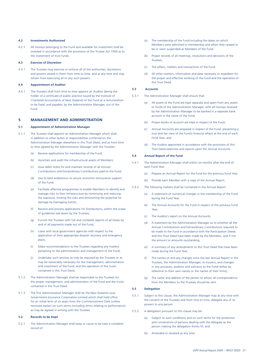#### **4.2 Investments Authorised**

4.2.1 All moneys belonging to the Fund and available for investment shall be invested in accordance with the provisions of the Trustee Act 1956 as to the investment of trust funds.

#### **4.3 Exercise of Discretion**

4.3.1 The Trustees may exercise or enforce all of the authorities, discretions and powers vested in them from time to time, and at any time and may refrain from exercising all or any such powers.

#### **4.4 Appointment of Auditor**

4.4.1 The Trustees shall from time to time appoint an Auditor (being the holder of a certificate of public practice issued by the Institute of Chartered Accountants of New Zealand) of the Fund at a remuneration to be fixed, and payable, by the Administration Manager, out of the Fund.

#### **5 MANAGEMENT AND ADMINISTRATION**

#### **5.1 Appointment of Administration Manager**

- 5.1.1 The Trustees shall appoint an Administration Manager which shall, in addition to other duties or responsibilities conferred on the Administration Manager elsewhere in this Trust Deed, and as from time to time agreed by the Administration Manager with the Trustees:
	- (a) Receive applications for membership of the Fund;
	- (b) Ascertain and audit the infrastructural assets of Members;
	- (c) Issue debit notes for and maintain records of all Annual Contributions and Extraordinary Contributions paid to the Fund;
	- (d) Use its best endeavours to secure economic reinsurance support of the Fund;
	- (e) Facilitate effective programmes to enable Members to identify and manage risks to their Infrastructure by minimising and reducing the exposure, limiting the risks and diminishing the potential for damage by Damaging Events;
	- (f) Receive and process applications for Distributions, within the scope of guidelines laid down by the Trustees;
	- (g) Furnish the Trustees with full and complete reports of all losses by and of all payments made out of the Fund;
	- (h) Liaise with local government agencies with respect to the application of their appropriate disaster recovery and emergency plans;
	- (i) Make recommendations to the Trustees regarding any matters pertaining to the administration and management of the Fund;
	- (j) Undertake such services as may be required by the Trustees or as may be reasonably necessary for the management, administration and investment of the Fund, and the operation of the trusts contained in this Trust Deed.
- 5.1.2 The Administration Manager shall be responsible to the Trustees for the proper management, and administration of the Fund and the trusts contained in this Trust Deed.
- 5.1.3 The first Administration Manager shall be the New Zealand Local Government Insurance Corporation Limited which shall hold office for an initial term of six years from the Commencement Date (unless removed earlier) on such terms (including terms relating to performance) as may be agreed in writing with the Trustees.

#### **5.2 Records to be Kept**

5.2.1 The Administration Manager shall keep or cause to be kept a complete record of:

- (a) The membership of the Fund including the dates on which Members were admitted to membership and when they ceased to be or were suspended as Members of the Fund.
- (b) Proper records of all meetings, resolutions and decisions of the **Trustees**
- (c) The affairs, matters and transactions of the Fund.
- (d) All other matters, information and data necessary or expedient for the proper and effective working of the Fund and the operation of this Trust Deed.

#### **5.3 Accounts**

- 5.3.1 The Administration Manager shall ensure that:
	- (a) All assets of the Fund are kept separate and apart from any assets or funds of the Administration Manager, with all moneys received by the Administration Manager to be banked in a separate bank account in the name of the Fund;
	- (b) Proper books of account are kept in respect of the Fund;
	- (c) Annual Accounts are prepared in respect of the Fund, presenting a true and fair view of the Fund's financial affairs at the end of each Fund Year; and
	- (d) The Auditor appointed in accordance with the provisions of this Trust Deed examines and reports upon the Annual Accounts.

#### **5.4 Annual Report of the Fund**

- 5.4.1 The Administration Manager shall within six months after the end of each Fund Year:
	- (a) Prepare an Annual Report for the Fund for the previous Fund Year.
	- (b) Provide each Member with a copy of the Annual Report.
- 5.4.2 The following matters shall be contained in the Annual Report:
	- (a) A statement of numerical changes in the membership of the Fund during the Fund Year;
	- (b) The Annual Accounts for the Fund in respect of the previous Fund Year;
	- (c) The Auditor's report on the Annual Accounts;
	- (d) A statement by the Administration Manager as to whether all the Annual Contributions and Extraordinary Contributions required to be made to the Fund in accordance with the Participation Deeds and this Trust Deed have been made by the Members, and if not the amount or amounts outstanding;
	- (e) A summary of any amendments to this Trust Deed that have been made during the Fund Year;
	- (f) The names of and any changes since the last Annual Report in the Trustees, the Administration Manager, re-insurers, and changes in any actuaries, auditors and solicitors to the Fund (either by reference to their own names or the names of their firms);
	- (g) The name and address of the person to whom all correspondence from the Members to the Trustees should be sent.

#### **5.5 Delegation**

- 5.5.1 Subject to this clause, the Administration Manager may at any time with the consent of the Trustees and from time to time, delegate any of its powers to any person.
- 5.5.2 A delegation pursuant to this clause may be:
	- (a) Subject to such conditions and on such terms for the protection and convenience of persons dealing with the delegate as the person making the delegation thinks fit; and
	- (b) Amended or revoked at any time.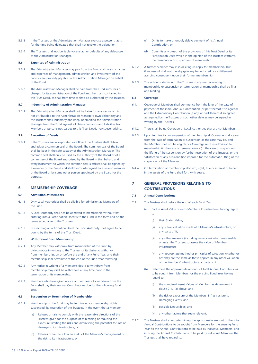- 5.5.3 If the Trustees or the Administration Manager exercise a power that is for the time being delegated that shall not revoke the delegation.
- 5.5.4 The Trustees shall not be liable for any act or defaults of any delegatee of the Administration Manager.

#### **5.6 Expenses of Administration**

- 5.6.1 The Administration Manager may pay from the Fund such costs, charges and expenses of management, administration and investment of the Fund as are properly payable by the Administration Manager on behalf of the Fund.
- 5.6.2 The Administration Manager shall be paid from the Fund such fees or charges for its administration of the Fund and the trusts contained in this Trust Deed, as shall from time to time be authorised by the Trustees.

#### **5.7 Indemnity of Administration Manager**

5.7.1 The Administration Manager shall not be liable for any loss which is not attributable to the Administration Manager's own dishonesty and the Trustees shall indemnify and keep indemnified the Administration Manager from the Fund against all claims demands and liabilities from Members or persons not parties to this Trust Deed, howsoever arising.

#### **5.8 Execution of Deeds**

5.8.1 If the Trustees are incorporated as a Board the Trustees shall obtain and adopt a common seal of the Board. The common seal of the Board shall be kept in the safe custody of the Administration Manager. The common seal shall only be used by the authority of the Board or of a committee of the Board authorised by the Board in that behalf, and every instrument to which the common seal is affixed shall be signed by a member of the Board and shall be countersigned by a second member of the Board or by some other person appointed by the Board for the purpose.

#### **6 MEMBERSHIP COVERAGE**

#### **6.1 Admission of Members**

- 6.1.1 Only Local Authorities shall be eligible for admission as Members of the Fund.
- 6.1.2 A Local Authority shall not be admitted to membership without first entering into a Participation Deed with the Fund in the form and on the terms acceptable to the Trustees.
- 6.1.3 In executing a Participation Deed the Local Authority shall agree to be bound by the terms of this Trust Deed.

#### **6.2 Withdrawal from Membership**

- 6.2.1 Any Member may withdraw from membership of the Fund by giving notice in writing to the Trustees of its desire to withdraw from membership, on or before the end of any Fund Year, and their membership shall terminate at the end of the Fund Year following.
- 6.2.2 Any notice in writing of a Member's desire to withdraw from membership may itself be withdrawn at any time prior to the termination of its membership.
- 6.2.3 Members who have given notice of their desire to withdraw from the Fund shall pay their Annual Contributions due for the following Fund Year.

#### **6.3 Suspension or Termination of Membership**

- 6.3.1 Membership of the Fund may be terminated or membership rights suspended, by resolution of the Trustees, in the event that a Member:
	- (a) Refuses or fails to comply with the reasonable directions of the Trustees given for the purpose of minimizing or reducing the exposure, limiting the risks and diminishing the potential for loss or damage to its Infrastructure; or
	- (b) Refuses or fails to allow an audit of the Member's management of the risk to its Infrastructure; or
- (c) Omits to make or unduly delays payment of its Annual Contribution; or
- (d) Commits any breach of the provisions of this Trust Deed or its Participation Deed which in the opinion of the Trustees warrants the termination or suspension of membership.
- 6.3.2 A former Member may if so desiring re-apply for membership, but if successful shall not thereby gain any benefit credit or entitlement accruing consequent upon their former membership.
- 6.3.3 The action or decision of the Trustees in any matter relating to membership or suspension or termination of membership shall be final and binding.

#### **6.4 Coverage**

- 6.4.1 Coverage of Members shall commence from the later of the date of payment of the initial Annual Contribution (or part thereof if so agreed) and the Extraordinary Contribution (if any, or part thereof if so agreed) as required by the Trustees or such other date as may be agreed in writing by the Trustees.
- 6.4.2 There shall be no Coverage of Local Authorities that are not Members.
- 6.4.3 Upon termination or suspension of membership all Coverage shall cease from the date of termination or suspension as the case may be, and the Member shall not be eligible for Coverage until re-admission to membership (in the case of termination) or (in the case of suspension) the lifting of the suspension by further resolution of the Trustees, or the satisfaction of any pre-condition imposed for the automatic lifting of the suspension of the Member.
- 6.4.4 On termination of membership all claim, right, title or interest or benefi t in the assets of the Fund shall forthwith cease.

#### **7 GENERAL PROVISIONS RELATING TO CONTRIBUTIONS**

#### **7.1 Annual Contributions**

- 7.1.1 The Trustees shall before the end of each Fund Year:
	- (a) Fix the Asset Value of each Member's Infrastructure, having regard to:
		- (i) their Stated Value;
		- (ii) any actual valuation made of a Member's Infrastructure, or any parts of it;
		- (iii) any other measure (including valuations) which may enable or assist the Trustees to assess the value of Members' Infrastructure;
		- (iv) any appropriate method or principles of valuation whether or not they are the same as those applied in any other valuation of the Members' Infrastructure or parts of it.
	- (b) Determine the approximate amount of total Annual Contributions to be sought from Members for the ensuing Fund Year having regard to:
		- (i) the combined Asset Values of Members as determined in clause 7.1.1(a) above; and
		- (ii) the risk or exposure of the Members' Infrastructure to Damaging Events; and
		- (iii) possible Deductibles; and
		- (iv) any other factors that seem relevant:
- 7.1.2 The Trustees shall after determining the approximate amount of the total Annual Contributions to be sought from Members for the ensuing Fund Year fix the Annual Contributions to be paid by individual Members, and in fixing the Annual Contributions to be paid by individual Members the Trustees shall have regard to: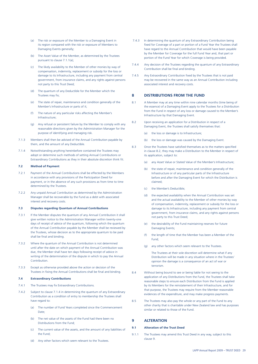- (a) The risk or exposure of the Member to a Damaging Event in its region compared with the risk or exposure of Members to Damaging Events generally;
- (b) The Asset Value of the Member, as determined by the Trustees pursuant to clause 7.1.1(a);
- (c) The likely availability to the Member of other monies by way of compensation, indemnity, replacement or subsidy for the loss or damage to its Infrastructure, including any payment from central government, from insurance claims, and any rights against persons not party to this Trust Deed;
- (d) The quantum of any Deductible for the Member which the Trustees may fix:
- (e) The state of repair, maintenance and condition generally of the Member's Infrastructure or parts of it;
- (f) The nature of any particular risks affecting the Member's Infrastructure;
- (g) Any refusal or persistent failure by the Member to comply with any reasonable directions given by the Administration Manager for the purpose of identifying and managing risk.
- 7.1.3 Members shall then be advised of the Annual Contribution payable by them, and the amount of any Deductible.
- 7.1.4 Notwithstanding anything hereinbefore contained the Trustees may adopt or determine such methods of setting Annual Contributions or Extraordinary Contributions as they in their absolute discretion think fit.

#### **7.2 Method of Payment**

- 7.2.1 Payment of the Annual Contributions shall be effected by the Members in accordance with any provisions of the Participation Deed for payment, or in the absence of any such provisions as from time to time determined by the Trustees.
- 7.2.2 Any unpaid Annual Contribution as determined by the Administration Manager shall be recoverable by the Fund as a debt with associated interest and recovery costs.

#### **7.3 Disputes regarding Quantum of Annual Contributions**

- 7.3.1 If the Member disputes the quantum of any Annual Contribution it shall give written notice to the Administration Manager within twenty-one days of receipt of advice of the quantum, following which the quantum of the Annual Contribution payable by the Member shall be reviewed by the Trustees, whose decision as to the appropriate quantum to be paid shall be final and binding.
- 7.3.2 Where the quantum of the Annual Contribution is not determined until after the date on which payment of the Annual Contribution was due, the Member shall have ten days following receipt of advice in writing of the determination of the dispute in which to pay the Annual Contribution.
- 7.3.3 Except as otherwise provided above the action or decision of the Trustees in fixing the Annual Contributions shall be final and binding.

#### **7.4 Extraordinary Contributions**

- 7.4.1 The Trustees may fix Extraordinary Contributions.
- 7.4.2 Subject to clause 7.1.4 in determining the quantum of any Extraordinary Contribution as a condition of entry to membership the Trustees shall have regard to:
	- (a) The number of Fund Years completed since the Commencement Date;
	- (b) The net value of the assets of the Fund had there been no Distributions from the Fund;
	- (c) The current value of the assets, and the amount of any liabilities of the Fund;
	- Any other factors which seem relevant to the Trustees.
- 7.4.3 In determining the quantum of any Extraordinary Contribution being fixed for Coverage of a part or portion of a Fund Year the Trustees shall have regard to the Annual Contribution that would have been payable by the Member for Coverage for the full Fund Year and, that part or portion of the Fund Year for which Coverage is being provided.
- 7.4.4 Any decision of the Trustees regarding the quantum of any Extraordinary Contribution shall be final and binding.
- 7.4.5 Any Extraordinary Contribution fixed by the Trustees that is not paid may be recovered in the same way as an Annual Contribution including associated interest and recovery costs.

#### **8 DISTRIBUTIONS FROM THE FUND**

- 8.1 A Member may at any time within nine calendar months (time being of the essence) of a Damaging Event apply to the Trustees for a Distribution from the Fund in respect of any loss or damage caused to the Member's Infrastructure by that Damaging Event.
- 8.2 Upon receiving an application for a Distribution in respect of a Damaging Event, the Trustees shall satisfy themselves that:
	- (a) the loss or damage is to Infrastructure;
	- (b) the loss or damage was caused by the Damaging Event.
- 8.3 Once the Trustees have satisfied themselves as to the matters specified in clause 8.2, they may make a Distribution to the Member in respect of its application, subject to:
	- (a) any Asset Value or Stated Value of the Member's Infrastructure;
	- (b) the state of repair, maintenance and condition generally of the Infrastructure or of any particular parts of the Infrastructure before and after the Damaging Event for which the Distribution is claimed;
	- (c) the Member's Deductible;
	- (d) the expected availability when the Annual Contribution was set and the actual availability to the Member of other monies by way of compensation, indemnity, replacement or subsidy for the loss or damage to its Infrastructure, including any payment from central government, from insurance claims, and any rights against persons not party to this Trust Deed;
	- (e) the desirability of the Fund maintaining reserves for future Damaging Events;
	- (f) the length of time that the Member has been a Member of the Fund;
	- (g) any other factors which seem relevant to the Trustees.

 The Trustees at their sole discretion will determine what if any Distribution will be made in any situation where in the Trustees' opinion the damage is a consequence of an act of war or terrorism.

- 8.4 Without being bound to see or being liable for not seeing to the application of any Distributions from the Fund, the Trustees shall take reasonable steps to ensure each Distribution from the Fund is applied by its Members for the reinstatement of their Infrastructure, and for that purpose, the Trustees may require from the Member reasonable evidences of the expenditure, and may make progress payments.
- 8.5 The Trustees may also pay the whole or any part of the Fund to any other charity that is charitable under New Zealand law and has purposes similar or related to those of the Fund.

### **9 ALTERATION**

#### **9.1 Alteration of the Trust Deed**

9.1.1 The Trustees may amend this Trust Deed in any way, subject to this clause 9.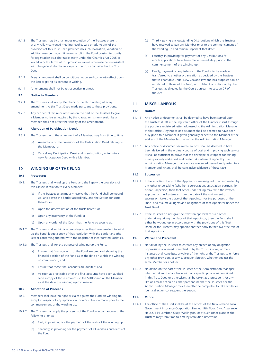- 9.1.2 The Trustees may by unanimous resolution of the Trustees present at any validly convened meeting revoke, vary or add to any of the provisions of this Trust Deed provided no such revocation, variation or addition may be made if it would result in the Fund ceasing to qualify for registration as a charitable entity under the Charities Act 2005 or would vary the terms of this proviso or would otherwise be inconsistent with the general charitable scope of the trusts contained in this Trust Deed.
- 9.1.3 Every amendment shall be conditional upon and come into effect upon the Settlor giving its consent in writing.
- 9.1.4 Amendments shall not be retrospective in effect.

#### **9.2 Notice to Members**

- 9.2.1 The Trustees shall notify Members forthwith in writing of every amendment to this Trust Deed made pursuant to these provisions.
- 9.2.2 Any accidental failure or omission on the part of the Trustees to give a Member notice as required by this clause, or its non-receipt by a Member, shall not affect the validity of the amendment.

#### **9.3 Alteration of Participation Deeds**

- 9.3.1 The Trustees, with the agreement of a Member, may from time to time:
	- (a) Amend any of the provisions of the Participation Deed relating to the Member; or
	- (b) Cancel any Participation Deed and in substitution, enter into a new Participation Deed with a Member.

### **10 WINDING UP OF THE FUND**

#### **10.1 Procedures**

- 10.1.1 The Trustees shall wind up the Fund and shall apply the provisions of this Clause in relation to every Member:
	- (a) If the Trustees unanimously resolve that the Fund shall be wound up, and advise the Settlor accordingly, and the Settlor consents thereto; or
	- (b) Upon the determination of the trusts hereof; or
	- (c) Upon any insolvency of the Fund; or
	- (d) Upon any order of the Court that the Fund be wound up.
- 10.1.2 The Trustees shall within fourteen days after they have resolved to wind up the Fund, lodge a copy of that resolution with the Settlor and (the Settlor consenting thereto) with the Registrar of Incorporated Societies.
- 10.1.3 The Trustees shall for the purpose of winding up the Fund:
	- (a) Ensure that final accounts of the Fund are prepared showing the financial position of the Fund as at the date on which the winding up commenced; and
	- (b) Ensure that those final accounts are audited; and
	- (c) As soon as practicable after the final accounts have been audited send a copy of those accounts to the Settlor and all the Members as at the date the winding up commenced.

#### **10.2 Allocation of Proceeds**

- 10.2.1 Members shall have no right or claim against the Fund on winding up except in respect of any application for a Distribution made prior to the commencement of the winding up.
- 10.2.2 The Trustee shall apply the proceeds of the Fund in accordance with the following priority:
	- (a) First, in providing for the payment of the costs of the winding up;
	- (b) Secondly, in providing for the payment of all liabilities and debts of the Fund;
- (c) Thirdly, paying any outstanding Distributions which the Trustees have resolved to pay any Member prior to the commencement of the winding up and remain unpaid at that date;
- (d) Fourthly, in providing for payment of any Distributions for which applications have been made immediately prior to the commencement of the winding up;
- (e) Finally, payment of any balance in the Fund is to be made or transferred to another organisation as decided by the Trustees that is charitable under New Zealand law and has purposes similar or related to those of the Fund, or in default of a decision by the Trustees, as directed by the Court pursuant to section 27 of the Act.

#### **11 MISCELLANEOUS**

#### **11.1 Notices**

- 11.1.1 Any notice or document shall be deemed to have been served upon the Trustees if left at the registered office of the Fund or if sent through the post in a registered letter addressed to the Administration Manager at that office. Any notice or document shall be deemed to have been duly given to a Member, if given generally or sent to the Member at the address of the Member last known to the Administration Manager.
- 11.1.2 Any notice or document delivered by post shall be deemed to have been delivered in the ordinary course of post and in proving such service it shall be sufficient to prove that the envelope or wrapper containing it was properly addressed and posted. A statement signed by the Administration Manager that a notice was so addressed and posted to a Member and when, shall be conclusive evidence of those facts.

#### **11.2 Succession**

- 11.2.1 If the activities of any of the Appointors are assigned to or succeeded by any other undertaking (whether a corporation, association partnership or natural person) then that other undertaking may, with the written approval of the Trustees as from the date of the assignment or succession, take the place of that Appointor for the purposes of the Fund, and assume all rights and obligations of that Appointor under the Trust Deed.
- 11.2.2 If the Trustees do not give their written approval of such other undertaking taking the place of that Appointor, then the Fund shall either be wound up in accordance with the provisions of this Trust Deed, or the Trustees may appoint another body to take over the role of that Appointor.

#### **11.3 Waiver and Precedent**

- 11.3.1 No failure by the Trustees to enforce any breach of any obligation or provision contained or implied in by this Trust, in one, or more instances shall constitute a waiver of the right of the Trustees to enforce any other provision, or any subsequent breach, whether against the same Member or another.
- 11.3.2 No action on the part of the Trustees or the Administration Manager whether taken in accordance with any specific provisions contained in this Trust Deed or otherwise shall be taken as a precedent for any like or similar action on either part and neither the Trustees nor the Administration Manager may thereafter be compelled to take similar or identical action consequent thereupon.

#### **11.4** Office

11.4.1 The office of the Fund shall be at the offices of the New Zealand Local Government Insurance Corporation Limited, 9th Floor, Civic Assurance House, 114 Lambton Quay, Wellington, or at such other place as the Trustees may from time to time by resolution determine.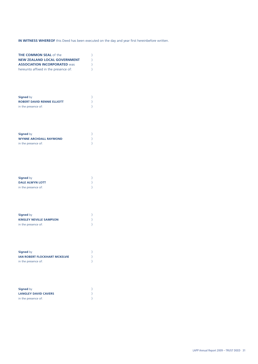## **IN WITNESS WHEREOF** this Deed has been executed on the day and year first hereinbefore written.

| <b>THE COMMON SEAL of the</b><br><b>NEW ZEALAND LOCAL GOVERNMENT</b><br><b>ASSOCIATION INCORPORATED Was</b><br>hereunto affixed in the presence of: | )<br>$\big)$<br>$\big)$ |
|-----------------------------------------------------------------------------------------------------------------------------------------------------|-------------------------|
| <b>Signed by</b><br><b>ROBERT DAVID RENNIE ELLIOTT</b><br>in the presence of:                                                                       |                         |
| <b>Signed by</b><br><b>WYNNE ARCHDALL RAYMOND</b><br>in the presence of:                                                                            |                         |
| <b>Signed by</b><br><b>DALE ALWYN LOTT</b><br>in the presence of:                                                                                   |                         |
| <b>Signed by</b><br><b>KINSLEY NEVILLE SAMPSON</b><br>in the presence of:                                                                           |                         |
| <b>Signed by</b><br><b>IAN ROBERT FLOCKHART MCKELVIE</b><br>in the presence of:                                                                     |                         |
| <b>Signed by</b><br><b>LANGLEY DAVID CAVERS</b><br>in the presence of:                                                                              |                         |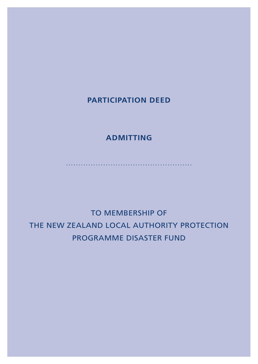## **PARTICIPATION DEED**

## **ADMITTING**

...................................................

TO MEMBERSHIP OF THE NEW ZEALAND LOCAL AUTHORITY PROTECTION PROGRAMME DISASTER FUND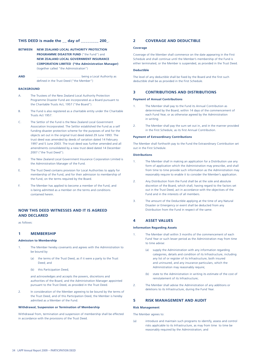### **THIS DEED is made the** \_\_ **day of** \_\_\_\_\_\_\_\_ **200**\_.

- **BETWEEN NEW ZEALAND LOCAL AUTHORITY PROTECTION PROGRAMME DISASTER FUND** ("the Fund") and **NEW ZEALAND LOCAL GOVERNMENT INSURANCE CORPORATION LIMITED ("the Administration Manager)** (together called "the Administration")
- **AND** ……………………………………. being a Local Authority as defined in the Trust Deed ("the Member")

#### **BACKGROUND**

- A. The Trustees of the New Zealand Local Authority Protection Programme Disaster Fund are incorporated as a Board pursuant to the Charitable Trusts Act, 1957 ("the Board").
- B. The Fund is also registered as a charitable entity under the Charitable Trusts Act 1957.
- C. The Settlor of the Fund is the New Zealand Local Government Association Incorporated. The Settlor established the Fund as a self funding disaster protection scheme for the purposes of and for the objects set out in the original trust deed dated 29 June 1993. The trust deed was amended by deeds of variation dated 14 February 1997 and 5 June 2003. The trust deed was further amended and all amendments consolidated by a new trust deed dated 14 December 2007 ("the Trust Deed").
- D. The New Zealand Local Government Insurance Corporation Limited is the Administration Manager of the Fund.
- E. The Trust Deed contains provision for Local Authorities to apply for membership of the Fund, and for their admission to membership of the Fund, on the terms required by the Board.
- F. The Member has applied to become a member of the Fund, and is being admitted as a member on the terms and conditions contained herein.

## **NOW THIS DEED WITNESSES AND IT IS AGREED AND DECLARED**

as follows:

### **1 MEMBERSHIP**

#### **Admission to Membership**

- 1. The Member hereby covenants and agrees with the Administration to be bound by
	- (a) the terms of the Trust Deed, as if it were a party to the Trust Deed; and
	- (b) this Participation Deed;

 and acknowledges and accepts the powers, discretions and authorities of the Board, and the Administration Manager appointed pursuant to the Trust Deed, as provided in the Trust Deed.

2. In consideration of the Member agreeing to be bound by the terms of the Trust Deed, and of this Participation Deed, the Member is hereby admitted as a Member of the Fund.

#### **Withdrawal, Suspension or Termination of Membership**

Withdrawal from, termination and suspension of membership shall be effected in accordance with the provisions of the Trust Deed.

### **2 COVERAGE AND DEDUCTIBLE**

#### **Coverage**

Coverage of the Member shall commence on the date appearing in the First Schedule and shall continue until the Member's membership of the Fund is either terminated, or the Member is suspended, as provided in the Trust Deed.

#### **Deductible**

The level of any deductible shall be fixed by the Board and the first such deductible shall be as provided in the First Schedule.

### **3 CONTRIBUTIONS AND DISTRIBUTIONS**

#### **Payment of Annual Contributions**

- 1. The Member shall pay to the Fund its Annual Contribution as determined by the Board, within 14 days of the commencement of each Fund Year, or as otherwise agreed by the Administration in writing.
- 2. The Member shall pay the sum set out in, and in the manner provided in the First Schedule, as its first Annual Contribution.

#### **Payment of Extraordinary Contributions**

The Member shall forthwith pay to the Fund the Extraordinary Contribution set out in the First Schedule.

#### **Distributions**

- 1. The Member shall in making an application for a Distribution use any form of application which the Administration may prescribe, and shall from time to time provide such information as the Administration may reasonably require to enable it to consider the Member's application.
- 2. Any Distribution from the Fund shall be at the sole and absolute discretion of the Board, which shall, having regard to the factors set out in the Trust Deed, act in accordance with the objectives of the Fund and in the interests of all members.
- 3. The amount of the Deductible applying at the time of any Natural Disaster or Emergency or event shall be deducted from any Distribution from the Fund in respect of the same.

### **4 ASSET VALUES**

#### **Information Regarding Assets**

- 1. The Member shall within 3 months of the commencement of each Fund Year or such lesser period as the Administration may from time to time advise:
	- (a) supply the Administration with any information regarding categories, details and condition of its Infrastructure, including any list of or register of its Infrastructure, both insured and uninsured, and any insurance particulars, which the Administration may reasonably require;
	- (b) state to the Administration in writing its estimate of the cost of reinstatement of its Infrastructure;
- 2. The Member shall advise the Administration of any additions or deletions to its Infrastructure, during the Fund Year.

### **5 RISK MANAGEMENT AND AUDIT**

#### **Risk Management**

The Member agrees to:

(a) introduce and maintain such programs to identify, assess and control risks applicable to its Infrastructure, as may from time to time be reasonably required by the Administration; and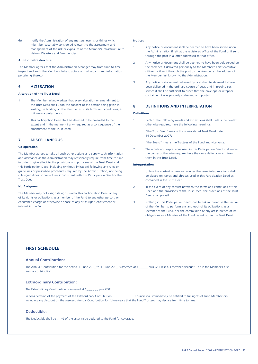(b) notify the Administration of any matters, events or things which might be reasonably considered relevant to the assessment and management of the risk or exposure of the Member's Infrastructure to Natural Disasters and Emergencies.

#### **Audit of Infrastructure**

The Member agrees that the Administration Manager may from time to time inspect and audit the Member's Infrastructure and all records and information pertaining thereto.

#### **6 ALTERATION**

#### **Alteration of the Trust Deed**

- 1 The Member acknowledges that every alteration or amendment to the Trust Deed shall upon the consent of the Settlor being given in writing, be binding on the Member as to its terms and conditions, as if it were a party thereto.
- 2 This Participation Deed shall be deemed to be amended to the extent and in the manner (if any) required as a consequence of the amendment of the Trust Deed.

### **7 MISCELLANEOUS**

#### **Co-operation**

The Member agrees to take all such other actions and supply such information and assistance as the Administration may reasonably require from time to time in order to give effect to the provisions and purposes of the Trust Deed and this Participation Deed, including (without limitation) following any rules or guidelines or prescribed procedures required by the Administration, not being rules guidelines or procedures inconsistent with this Participation Deed or the Trust Deed.

#### **No Assignment**

The Member may not assign its rights under this Participation Deed or any of its rights or obligations as a member of the Fund to any other person, or encumber, charge or otherwise dispose of any of its right, entitlement or interest in the Fund.

#### **Notices**

- Any notice or document shall be deemed to have been served upon the Administration if left at the registered office of the Fund or if sent through the post in a letter addressed to that office.
- 2 Any notice or document shall be deemed to have been duly served on the Member, if delivered personally to the Member's chief executive officer, or if sent through the post to the Member at the address of the Member last known to the Administration.
- 3 Any notice or document delivered by post shall be deemed to have been delivered in the ordinary course of post, and in proving such service it shall be sufficient to prove that the envelope or wrapper containing it was properly addressed and posted.

#### **8 DEFINITIONS AND INTERPRETATION**

#### **Defi nitions**

Each of the following words and expressions shall, unless the context otherwise requires, have the following meanings:

 "the Trust Deed" means the consolidated Trust Deed dated 14 December 2007;

"the Board" means the Trustees of the Fund and vice versa.

2 The words and expressions used in this Participation Deed shall unless the context otherwise requires have the same definitions as given them in the Trust Deed.

#### **Interpretation**

- 1 Unless the context otherwise requires the same interpretations shall be placed on words and phrases used in this Participation Deed as contained in the Trust Deed.
- 2 In the event of any conflict between the terms and conditions of this Deed and the provisions of the Trust Deed, the provisions of the Trust Deed shall prevail.
- 3 Nothing in this Participation Deed shall be taken to excuse the failure of the Member to perform any and each of its obligations as a Member of the Fund, nor the commission of any act in breach of its obligations as a Member of the Fund, as set out in the Trust Deed.

### **FIRST SCHEDULE**

#### **Annual Contribution:**

The Annual Contribution for the period 30 June 200\_ to 30 June 200\_ is assessed at \$\_\_\_\_\_ plus GST, less full member discount. This is the Member's first annual contribution.

#### **Extraordinary Contribution:**

The Extraordinary Contribution is assessed at \$\_\_\_,\_\_\_ plus GST.

In consideration of the payment of the Extraordinary Contribution ………………… Council shall immediately be entitled to full rights of Fund Membership including any discount on the assessed Annual Contribution for future years that the Fund Trustees may declare from time to time.

#### **Deductible:**

The Deductible shall be .\_\_% of the asset value declared to the Fund for coverage.